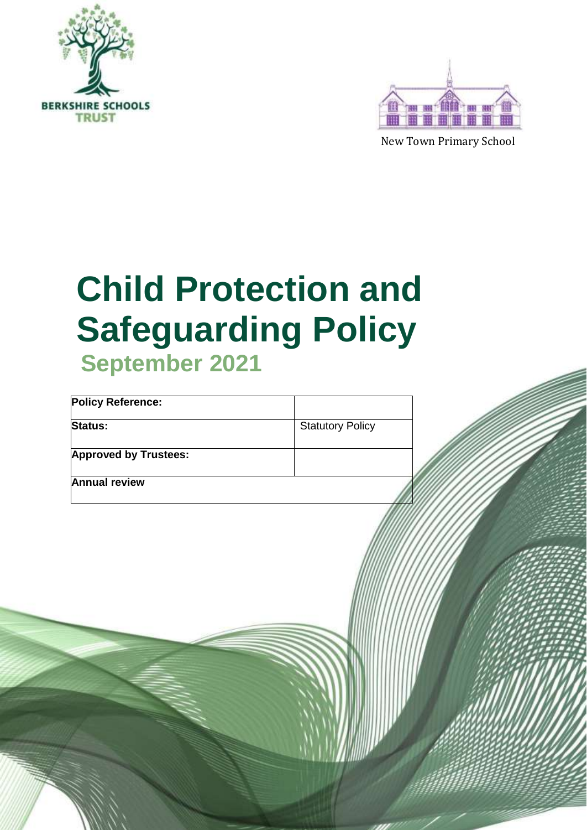



New Town Primary School

# **Child Protection and Safeguarding Policy September 2021**

| <b>Policy Reference:</b>     |                         |  |
|------------------------------|-------------------------|--|
| Status:                      | <b>Statutory Policy</b> |  |
| <b>Approved by Trustees:</b> |                         |  |
| <b>Annual review</b>         |                         |  |
|                              |                         |  |
|                              |                         |  |
|                              |                         |  |
|                              |                         |  |
|                              |                         |  |
|                              |                         |  |
|                              |                         |  |
|                              |                         |  |
|                              |                         |  |
|                              |                         |  |
|                              |                         |  |
|                              |                         |  |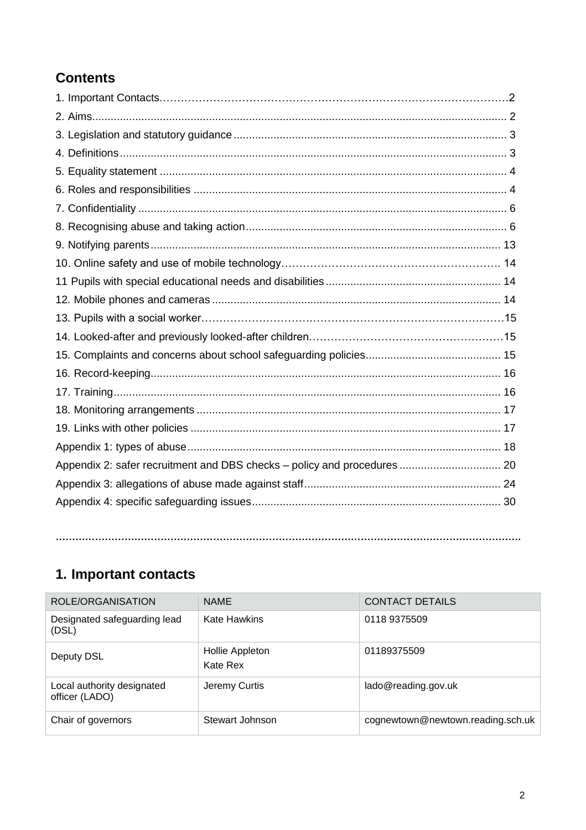# **Contents**

| Appendix 2: safer recruitment and DBS checks - policy and procedures  20 |  |
|--------------------------------------------------------------------------|--|
|                                                                          |  |
|                                                                          |  |
|                                                                          |  |

# <span id="page-1-0"></span>**1. Important contacts**

| ROLE/ORGANISATION                            | <b>NAME</b>                 | <b>CONTACT DETAILS</b>            |
|----------------------------------------------|-----------------------------|-----------------------------------|
| Designated safeguarding lead<br>(DSL)        | <b>Kate Hawkins</b>         | 0118 9375509                      |
| Deputy DSL                                   | Hollie Appleton<br>Kate Rex | 01189375509                       |
| Local authority designated<br>officer (LADO) | Jeremy Curtis               | lado@reading.gov.uk               |
| Chair of governors                           | Stewart Johnson             | cognewtown@newtown.reading.sch.uk |

**…………………………………………………………………………………………………………………………….**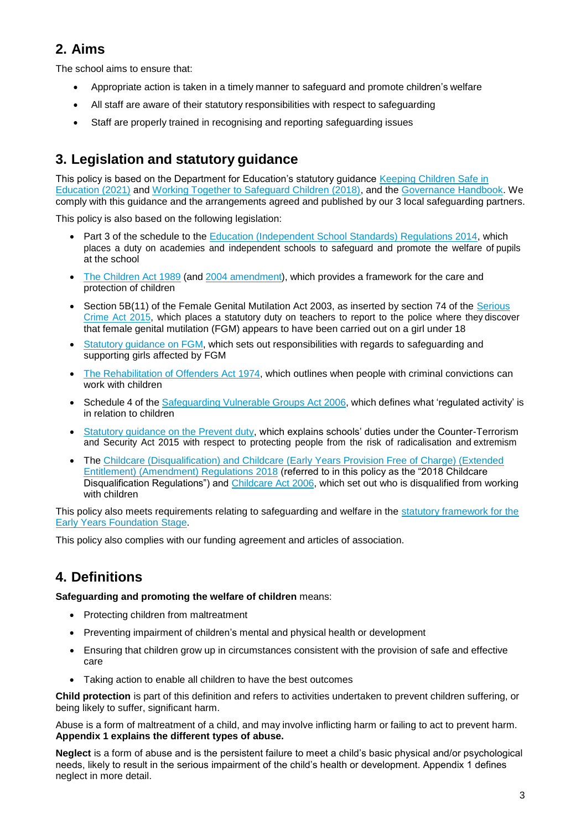# **2. Aims**

The school aims to ensure that:

- Appropriate action is taken in a timely manner to safeguard and promote children's welfare
- All staff are aware of their statutory responsibilities with respect to safeguarding
- Staff are properly trained in recognising and reporting safeguarding issues

# <span id="page-2-0"></span>**3. Legislation and statutory guidance**

This policy is based on the Department for Education's statutory guidance [Keeping Children Safe in](http://www.legislation.gov.uk/ukpga/1989/41) [Education \(2021\)](https://www.gov.uk/government/publications/keeping-children-safe-in-education--2) and [Working Together to Safeguard Children \(2018\), a](http://www.reading.gov.uk/childrensreferralform)nd the [Governance Handbook.](https://www.gov.uk/government/publications/governance-handbook) We comply with this guidance and the arrangements agreed and published by our 3 local safeguarding partners.

This policy is also based on the following legislation:

- Part 3 of the schedule to the [Education \(Independent School Standards\) Regulations 2014, w](https://www.gov.uk/government/publications/multi-agency-statutory-guidance-on-female-genital-mutilation)hich places a duty on academies and independent schools to safeguard and promote the welfare of pupils at the school
- [The Children Act 1989](mailto:fmu@fco.gov.uk) (and [2004 amendment\)](http://www.legislation.gov.uk/ukpga/2004/31/contents), which provides a framework for the care and protection of children
- Section 5B(11) of the Female Genital Mutilation Act 2003, as inserted by section 74 of the [Serious](http://www.legislation.gov.uk/uksi/2009/37/contents/made) [Crime](http://www.legislation.gov.uk/ukpga/2015/9/part/5/crossheading/female-genital-mutilation) Act 2015, which places a statutory duty on teachers to report to the police where they discover that female genital mutilation (FGM) appears to have been carried out on a girl under 18
- [Statutory guidance on FGM, w](http://www.legislation.gov.uk/uksi/2018/794/contents/made)hich sets out responsibilities with regards to safeguarding and supporting girls affected by FGM
- [The Rehabilitation of Offenders Act 1974, w](https://www.gov.uk/government/publications/channel-guidance)hich outlines when people with criminal convictions can work with children
- Schedule 4 of the [Safeguarding](http://www.legislation.gov.uk/ukpga/2006/47/schedule/4) Vulnerable Groups Act 2006, which defines what 'regulated activity' is in relation to children
- [Statutory guidance on the Prevent duty, w](mailto:ChildrensSinglePointofAccess@reading.gcsx.gov.uk)hich explains schools' duties under the Counter-Terrorism and Security Act 2015 with respect to protecting people from the risk of radicalisation and extremism
- The [Childcare \(Disqualification\) and Childcare \(Early Years Provision Free of Charge\) \(Extended](http://www.legislation.gov.uk/ukpga/1974/53) [Entitlement\) \(Amendment\) Regulations 2018](http://www.legislation.gov.uk/uksi/2018/794/contents/made) (referred to in this policy as the "2018 Childcare Disqualification Regulations") and [Childcare Act 2006, w](https://www.nspcc.org.uk/what-you-can-do/report-abuse/dedicated-helplines/protecting-children-from-radicalisation/)hich set out who is disqualified from working with children

This policy also meets requirements relating to safeguarding and welfare in the [statutory framework for the](https://www.gov.uk/government/publications/early-years-foundation-stage-framework--2) Early [Years Foundation](https://www.legislation.gov.uk/ukpga/2008/25/section/128) Stage.

This policy also complies with our funding agreement and articles of association.

# <span id="page-2-1"></span>**4. Definitions**

**Safeguarding and promoting the welfare of children** means:

- Protecting children from maltreatment
- Preventing impairment of children's mental and physical health or development
- Ensuring that children grow up in circumstances consistent with the provision of safe and effective care
- Taking action to enable all children to have the best outcomes

**Child protection** is part of this definition and refers to activities undertaken to prevent children suffering, or being likely to suffer, significant harm.

Abuse is a form of maltreatment of a child, and may involve inflicting harm or failing to act to prevent harm. **Appendix 1 explains the different types of abuse.**

**Neglect** is a form of abuse and is the persistent failure to meet a child's basic physical and/or psychological needs, likely to result in the serious impairment of the child's health or development. Appendix 1 defines neglect in more detail.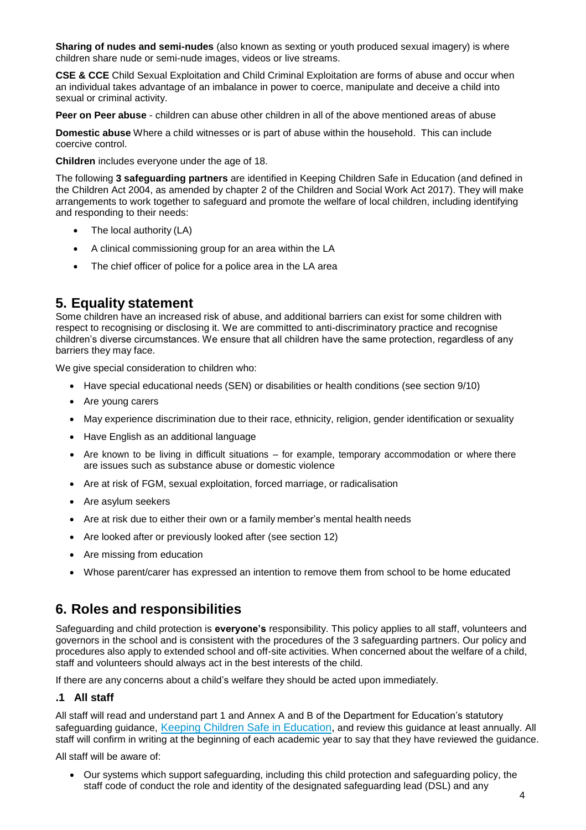**Sharing of nudes and semi-nudes** (also known as sexting or youth produced sexual imagery) is where children share nude or semi-nude images, videos or live streams.

**CSE & CCE** Child Sexual Exploitation and Child Criminal Exploitation are forms of abuse and occur when an individual takes advantage of an imbalance in power to coerce, manipulate and deceive a child into sexual or criminal activity.

**Peer on Peer abuse** - children can abuse other children in all of the above mentioned areas of abuse

**Domestic abuse** Where a child witnesses or is part of abuse within the household. This can include coercive control.

**Children** includes everyone under the age of 18.

The following **3 safeguarding partners** are identified in Keeping Children Safe in Education (and defined in the Children Act 2004, as amended by chapter 2 of the Children and Social Work Act 2017). They will make arrangements to work together to safeguard and promote the welfare of local children, including identifying and responding to their needs:

- The local authority (LA)
- A clinical commissioning group for an area within the LA
- The chief officer of police for a police area in the LA area

### <span id="page-3-0"></span>**5. Equality statement**

Some children have an increased risk of abuse, and additional barriers can exist for some children with respect to recognising or disclosing it. We are committed to anti-discriminatory practice and recognise children's diverse circumstances. We ensure that all children have the same protection, regardless of any barriers they may face.

We give special consideration to children who:

- Have special educational needs (SEN) or disabilities or health conditions (see section 9/10)
- Are young carers
- May experience discrimination due to their race, ethnicity, religion, gender identification or sexuality
- Have English as an additional language
- Are known to be living in difficult situations for example, temporary accommodation or where there are issues such as substance abuse or domestic violence
- Are at risk of FGM, sexual exploitation, forced marriage, or radicalisation
- Are asylum seekers
- Are at risk due to either their own or a family member's mental health needs
- Are looked after or previously looked after (see section 12)
- Are missing from education
- Whose parent/carer has expressed an intention to remove them from school to be home educated

### <span id="page-3-1"></span>**6. Roles and responsibilities**

Safeguarding and child protection is **everyone's** responsibility. This policy applies to all staff, volunteers and governors in the school and is consistent with the procedures of the 3 safeguarding partners. Our policy and procedures also apply to extended school and off-site activities. When concerned about the welfare of a child, staff and volunteers should always act in the best interests of the child.

If there are any concerns about a child's welfare they should be acted upon immediately.

### **.1 All staff**

All staff will read and understand part 1 and Annex A and B of the Department for Education's statutory safeguarding guidance, Keeping Children Safe in [Education,](https://www.gov.uk/guidance/making-barring-referrals-to-the-dbs) and review this guidance at least annually. All staff will confirm in writing at the beginning of each academic year to say that they have reviewed the guidance.

All staff will be aware of:

 Our systems which support safeguarding, including this child protection and safeguarding policy, the staff code of conduct the role and identity of the designated safeguarding lead (DSL) and any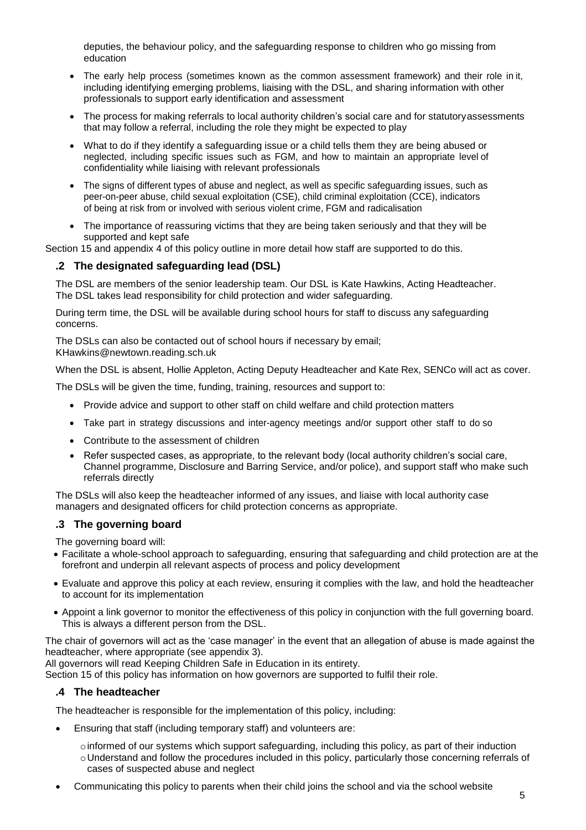deputies, the behaviour policy, and the safeguarding response to children who go missing from education

- The early help process (sometimes known as the common assessment framework) and their role in it, including identifying emerging problems, liaising with the DSL, and sharing information with other professionals to support early identification and assessment
- The process for making referrals to local authority children's social care and for statutoryassessments that may follow a referral, including the role they might be expected to play
- What to do if they identify a safeguarding issue or a child tells them they are being abused or neglected, including specific issues such as FGM, and how to maintain an appropriate level of confidentiality while liaising with relevant professionals
- The signs of different types of abuse and neglect, as well as specific safeguarding issues, such as peer-on-peer abuse, child sexual exploitation (CSE), child criminal exploitation (CCE), indicators of being at risk from or involved with serious violent crime, FGM and radicalisation
- The importance of reassuring victims that they are being taken seriously and that they will be supported and kept safe

Section 15 and appendix 4 of this policy outline in more detail how staff are supported to do this.

### **.2 The designated safeguarding lead (DSL)**

The DSL are members of the senior leadership team. Our DSL is Kate Hawkins, Acting Headteacher. The DSL takes lead responsibility for child protection and wider safeguarding.

During term time, the DSL will be available during school hours for staff to discuss any safeguarding concerns.

The DSLs can also be contacted out of school hours if necessary by email; KHawkins@newtown.reading.sch.uk

When the DSL is absent, Hollie Appleton, Acting Deputy Headteacher and Kate Rex, SENCo will act as cover.

The DSLs will be given the time, funding, training, resources and support to:

- Provide advice and support to other staff on child welfare and child protection matters
- Take part in strategy discussions and inter-agency meetings and/or support other staff to do so
- Contribute to the assessment of children
- Refer suspected cases, as appropriate, to the relevant body (local authority children's social care, Channel programme, Disclosure and Barring Service, and/or police), and support staff who make such referrals directly

The DSLs will also keep the headteacher informed of any issues, and liaise with local authority case managers and designated officers for child protection concerns as appropriate.

### **.3 The governing board**

The governing board will:

- Facilitate a whole-school approach to safeguarding, ensuring that safeguarding and child protection are at the forefront and underpin all relevant aspects of process and policy development
- Evaluate and approve this policy at each review, ensuring it complies with the law, and hold the headteacher to account for its implementation
- Appoint a link governor to monitor the effectiveness of this policy in conjunction with the full governing board. This is always a different person from the DSL.

The chair of governors will act as the 'case manager' in the event that an allegation of abuse is made against the headteacher, where appropriate (see appendix 3).

All governors will read Keeping Children Safe in Education in its entirety.

Section 15 of this policy has information on how governors are supported to fulfil their role.

### **.4 The headteacher**

The headteacher is responsible for the implementation of this policy, including:

- Ensuring that staff (including temporary staff) and volunteers are:
	- $\circ$  informed of our systems which support safeguarding, including this policy, as part of their induction oUnderstand and follow the procedures included in this policy, particularly those concerning referrals of cases of suspected abuse and neglect
- Communicating this policy to parents when their child joins the school and via the school website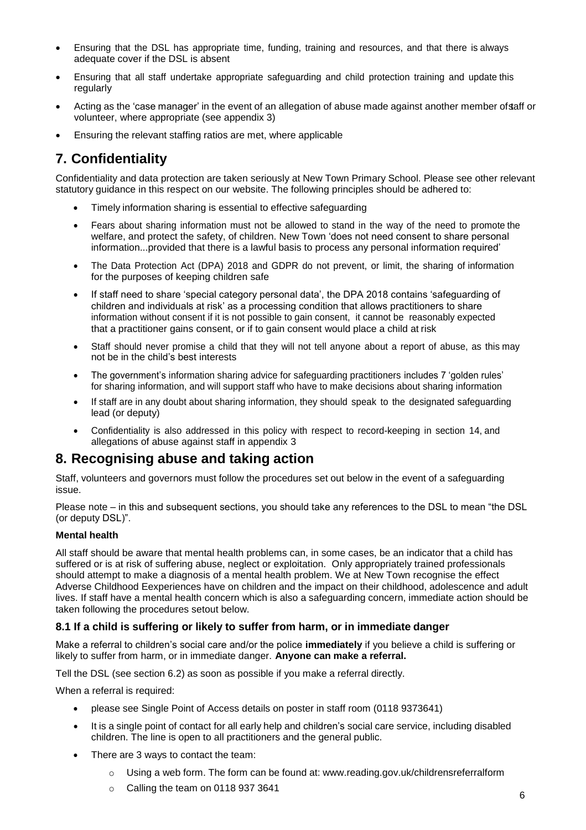- Ensuring that the DSL has appropriate time, funding, training and resources, and that there is always adequate cover if the DSL is absent
- Ensuring that all staff undertake appropriate safeguarding and child protection training and update this regularly
- Acting as the 'case manager' in the event of an allegation of abuse made against another member of staff or volunteer, where appropriate (see appendix 3)
- Ensuring the relevant staffing ratios are met, where applicable

# <span id="page-5-0"></span>**7. Confidentiality**

Confidentiality and data protection are taken seriously at New Town Primary School. Please see other relevant statutory guidance in this respect on our website. The following principles should be adhered to:

- Timely information sharing is essential to effective safeguarding
- Fears about sharing information must not be allowed to stand in the way of the need to promote the welfare, and protect the safety, of children. New Town 'does not need consent to share personal information...provided that there is a lawful basis to process any personal information required'
- The Data Protection Act (DPA) 2018 and GDPR do not prevent, or limit, the sharing of information for the purposes of keeping children safe
- If staff need to share 'special category personal data', the DPA 2018 contains 'safeguarding of children and individuals at risk' as a processing condition that allows practitioners to share information without consent if it is not possible to gain consent, it cannot be reasonably expected that a practitioner gains consent, or if to gain consent would place a child at risk
- Staff should never promise a child that they will not tell anyone about a report of abuse, as this may not be in the child's best interests
- The government's [information sharing advice for safeguarding practitioners](https://www.gov.uk/government/publications/safeguarding-practitioners-information-sharing-advice) includes 7 'golden rules' for sharing information, and will support staff who have to make decisions about sharing information
- If staff are in any doubt about sharing information, they should speak to the designated safeguarding lead (or deputy)
- Confidentiality is also addressed in this policy with respect to record-keeping in section 14, and allegations of abuse against staff in appendix 3

### <span id="page-5-1"></span>**8. Recognising abuse and taking action**

Staff, volunteers and governors must follow the procedures set out below in the event of a safeguarding issue.

Please note – in this and subsequent sections, you should take any references to the DSL to mean "the DSL (or deputy DSL)".

### **Mental health**

All staff should be aware that mental health problems can, in some cases, be an indicator that a child has suffered or is at risk of suffering abuse, neglect or exploitation. Only appropriately trained professionals should attempt to make a diagnosis of a mental health problem. We at New Town recognise the effect Adverse Childhood Eexperiences have on children and the impact on their childhood, adolescence and adult lives. If staff have a mental health concern which is also a safeguarding concern, immediate action should be taken following the procedures setout below.

### **8.1 If a child is suffering or likely to suffer from harm, or in immediate danger**

Make a referral to children's social care and/or the police **immediately** if you believe a child is suffering or likely to suffer from harm, or in immediate danger. **Anyone can make a referral.**

Tell the DSL (see section 6.2) as soon as possible if you make a referral directly.

When a referral is required:

- please see Single Point of Access details on poster in staff room (0118 9373641)
- It is a single point of contact for all early help and children's social care service, including disabled children. The line is open to all practitioners and the general public.
- There are 3 ways to contact the team:
	- o Using a web form. The form can be found at: [www.reading.gov.uk/childrensreferralform](http://www.legislation.gov.uk/uksi/2014/3283/schedule/part/3/made)
	- o Calling the team on 0118 937 3641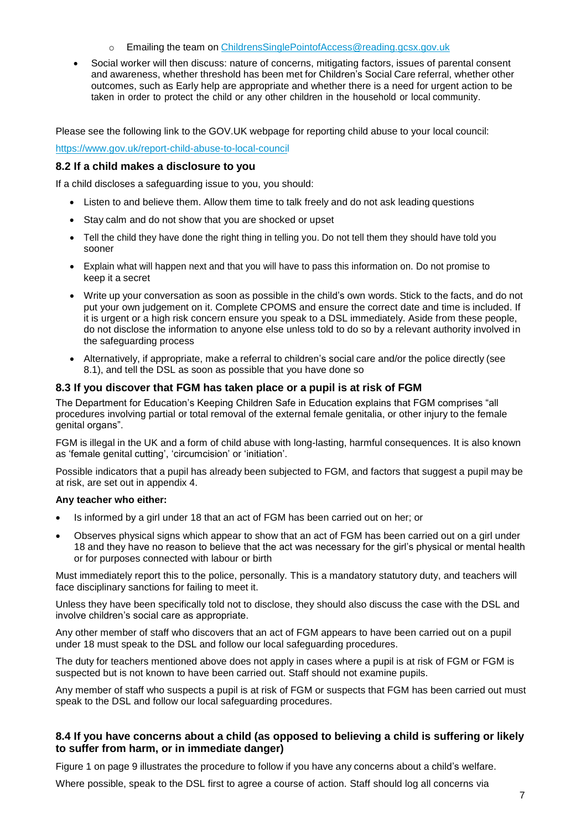- o Emailing the team on [ChildrensSinglePointofAccess@reading.gcsx.gov.uk](https://www.gov.uk/government/publications/keeping-children-safe-in-education--2)
- Social worker will then discuss: nature of concerns, mitigating factors, issues of parental consent and awareness, whether threshold has been met for Children's Social Care referral, whether other outcomes, such as Early help are appropriate and whether there is a need for urgent action to be taken in order to protect the child or any other children in the household or local community.

Please see the following link to the GOV.UK webpage for reporting child abuse to your local council:

### <https://www.gov.uk/report-child-abuse-to-local-council>

### **8.2 If a child makes a disclosure to you**

If a child discloses a safeguarding issue to you, you should:

- Listen to and believe them. Allow them time to talk freely and do not ask leading questions
- Stay calm and do not show that you are shocked or upset
- Tell the child they have done the right thing in telling you. Do not tell them they should have told you sooner
- Explain what will happen next and that you will have to pass this information on. Do not promise to keep it a secret
- Write up your conversation as soon as possible in the child's own words. Stick to the facts, and do not put your own judgement on it. Complete CPOMS and ensure the correct date and time is included. If it is urgent or a high risk concern ensure you speak to a DSL immediately. Aside from these people, do not disclose the information to anyone else unless told to do so by a relevant authority involved in the safeguarding process
- Alternatively, if appropriate, make a referral to children's social care and/or the police directly (see 8.1), and tell the DSL as soon as possible that you have done so

### **8.3 If you discover that FGM has taken place or a pupil is at risk of FGM**

The Department for Education's Keeping Children Safe in Education explains that FGM comprises "all procedures involving partial or total removal of the external female genitalia, or other injury to the female genital organs".

FGM is illegal in the UK and a form of child abuse with long-lasting, harmful consequences. It is also known as 'female genital cutting', 'circumcision' or 'initiation'.

Possible indicators that a pupil has already been subjected to FGM, and factors that suggest a pupil may be at risk, are set out in appendix 4.

### **Any teacher who either:**

- Is informed by a girl under 18 that an act of FGM has been carried out on her; or
- Observes physical signs which appear to show that an act of FGM has been carried out on a girl under 18 and they have no reason to believe that the act was necessary for the girl's physical or mental health or for purposes connected with labour or birth

Must immediately report this to the police, personally. This is a mandatory statutory duty, and teachers will face disciplinary sanctions for failing to meet it.

Unless they have been specifically told not to disclose, they should also discuss the case with the DSL and involve children's social care as appropriate.

Any other member of staff who discovers that an act of FGM appears to have been carried out on a pupil under 18 must speak to the DSL and follow our local safeguarding procedures.

The duty for teachers mentioned above does not apply in cases where a pupil is at risk of FGM or FGM is suspected but is not known to have been carried out. Staff should not examine pupils.

Any member of staff who suspects a pupil is at risk of FGM or suspects that FGM has been carried out must speak to the DSL and follow our local safeguarding procedures.

### **8.4 If you have concerns about a child (as opposed to believing a child is suffering or likely to suffer from harm, or in immediate danger)**

Figure 1 on page 9 illustrates the procedure to follow if you have any concerns about a child's welfare.

Where possible, speak to the DSL first to agree a course of action. Staff should log all concerns via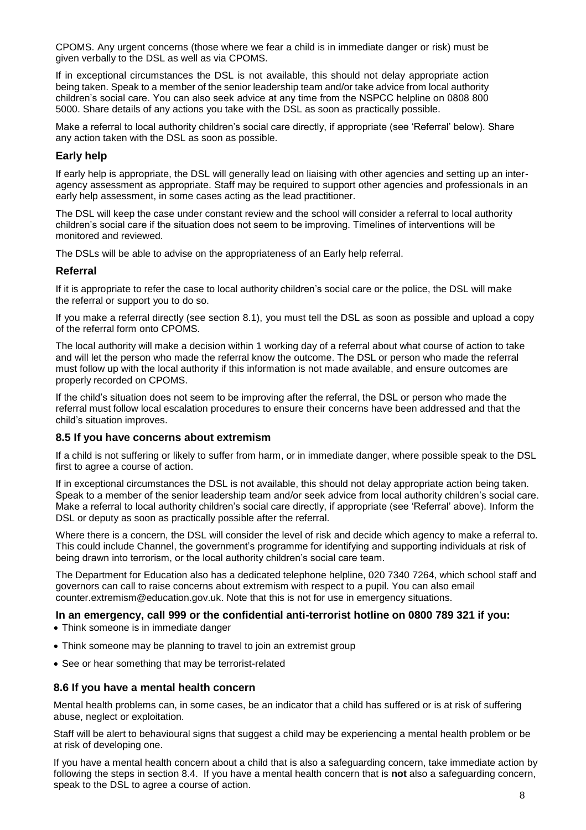CPOMS. Any urgent concerns (those where we fear a child is in immediate danger or risk) must be given verbally to the DSL as well as via CPOMS.

If in exceptional circumstances the DSL is not available, this should not delay appropriate action being taken. Speak to a member of the senior leadership team and/or take advice from local authority children's social care. You can also seek advice at any time from the NSPCC helpline on 0808 800 5000. Share details of any actions you take with the DSL as soon as practically possible.

Make a referral to local authority children's social care directly, if appropriate (see 'Referral' below). Share any action taken with the DSL as soon as possible.

### **Early help**

If early help is appropriate, the DSL will generally lead on liaising with other agencies and setting up an interagency assessment as appropriate. Staff may be required to support other agencies and professionals in an early help assessment, in some cases acting as the lead practitioner.

The DSL will keep the case under constant review and the school will consider a referral to local authority children's social care if the situation does not seem to be improving. Timelines of interventions will be monitored and reviewed.

The DSLs will be able to advise on the appropriateness of an Early help referral.

### **Referral**

If it is appropriate to refer the case to local authority children's social care or the police, the DSL will make the referral or support you to do so.

If you make a referral directly (see section 8.1), you must tell the DSL as soon as possible and upload a copy of the referral form onto CPOMS.

The local authority will make a decision within 1 working day of a referral about what course of action to take and will let the person who made the referral know the outcome. The DSL or person who made the referral must follow up with the local authority if this information is not made available, and ensure outcomes are properly recorded on CPOMS.

If the child's situation does not seem to be improving after the referral, the DSL or person who made the referral must follow local escalation procedures to ensure their concerns have been addressed and that the child's situation improves.

### **8.5 If you have concerns about extremism**

If a child is not suffering or likely to suffer from harm, or in immediate danger, where possible speak to the DSL first to agree a course of action.

If in exceptional circumstances the DSL is not available, this should not delay appropriate action being taken. Speak to a member of the senior leadership team and/or seek advice from local authority children's social care. Make a referral to local authority children's social care directly, if appropriate (see 'Referral' above). Inform the DSL or deputy as soon as practically possible after the referral.

Where there is a concern, the DSL will consider the level of risk and decide which agency to make a referral to. This could include [Channel,](https://www.gov.uk/government/publications/working-together-to-safeguard-children--2) the government's programme for identifying and supporting individuals at risk of being drawn into terrorism, or the local authority children's social care team.

The Department for Education also has a dedicated telephone helpline, 020 7340 7264, which school staff and governors can call to raise concerns about extremism with respect to a pupil. You can also email [counter.extremism@education.gov.uk.](mailto:counter.extremism@education.gov.uk) Note that this is not for use in emergency situations.

### **In an emergency, call 999 or the confidential anti-terrorist hotline on 0800 789 321 if you:**

- Think someone is in immediate danger
- Think someone may be planning to travel to join an extremist group
- See or hear something that may be terrorist-related

### **8.6 If you have a mental health concern**

Mental health problems can, in some cases, be an indicator that a child has suffered or is at risk of suffering abuse, neglect or exploitation.

Staff will be alert to behavioural signs that suggest a child may be experiencing a mental health problem or be at risk of developing one.

If you have a mental health concern about a child that is also a safeguarding concern, take immediate action by following the steps in section 8.4. If you have a mental health concern that is **not** also a safeguarding concern, speak to the DSL to agree a course of action.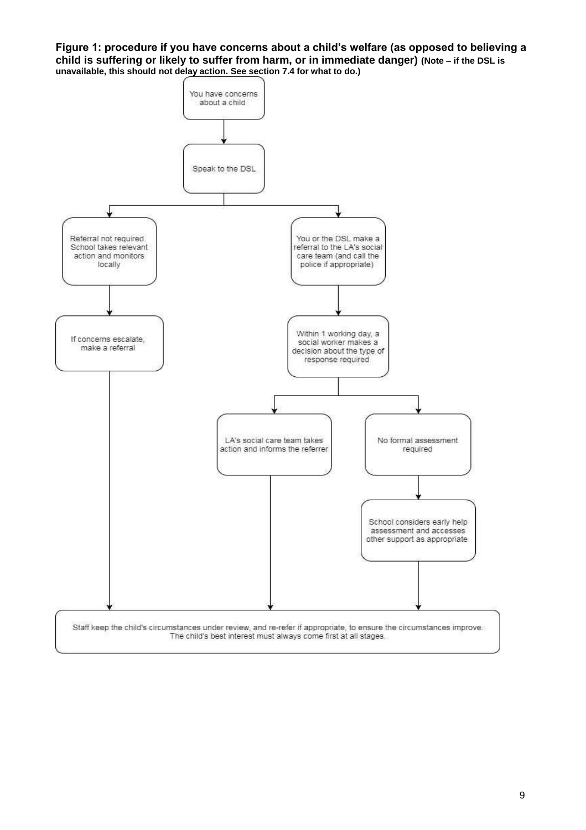**Figure 1: procedure if you have concerns about a child's welfare (as opposed to believing a child is suffering or likely to suffer from harm, or in immediate danger) (Note – if the DSL is unavailable, this should not delay action. See section 7.4 for what to do.)**

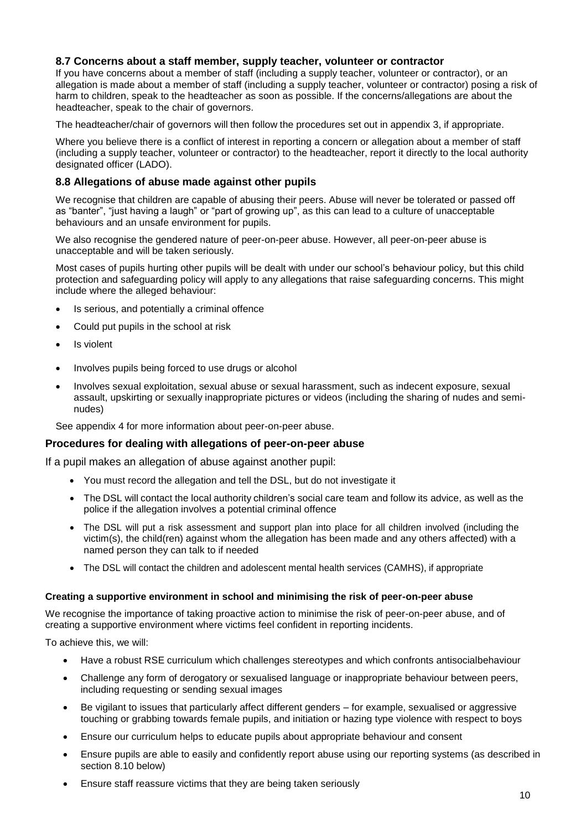### **8.7 Concerns about a staff member, supply teacher, volunteer or contractor**

If you have concerns about a member of staff (including a supply teacher, volunteer or contractor), or an allegation is made about a member of staff (including a supply teacher, volunteer or contractor) posing a risk of harm to children, speak to the headteacher as soon as possible. If the concerns/allegations are about the headteacher, speak to the chair of governors.

The headteacher/chair of governors will then follow the procedures set out in appendix 3, if appropriate.

Where you believe there is a conflict of interest in reporting a concern or allegation about a member of staff (including a supply teacher, volunteer or contractor) to the headteacher, report it directly to the local authority designated officer (LADO).

### **8.8 Allegations of abuse made against other pupils**

We recognise that children are capable of abusing their peers. Abuse will never be tolerated or passed off as "banter", "just having a laugh" or "part of growing up", as this can lead to a culture of unacceptable behaviours and an unsafe environment for pupils.

We also recognise the gendered nature of peer-on-peer abuse. However, all peer-on-peer abuse is unacceptable and will be taken seriously.

Most cases of pupils hurting other pupils will be dealt with under our school's behaviour policy, but this child protection and safeguarding policy will apply to any allegations that raise safeguarding concerns. This might include where the alleged behaviour:

- Is serious, and potentially a criminal offence
- Could put pupils in the school at risk
- Is violent
- Involves pupils being forced to use drugs or alcohol
- Involves sexual exploitation, sexual abuse or sexual harassment, such as indecent exposure, sexual assault, upskirting or sexually inappropriate pictures or videos (including the sharing of nudes and seminudes)

See appendix 4 for more information about peer-on-peer abuse.

### **Procedures for dealing with allegations of peer-on-peer abuse**

If a pupil makes an allegation of abuse against another pupil:

- You must record the allegation and tell the DSL, but do not investigate it
- The DSL will contact the local authority children's social care team and follow its advice, as well as the police if the allegation involves a potential criminal offence
- The DSL will put a risk assessment and support plan into place for all children involved (including the victim(s), the child(ren) against whom the allegation has been made and any others affected) with a named person they can talk to if needed
- The DSL will contact the children and adolescent mental health services (CAMHS), if appropriate

### **Creating a supportive environment in school and minimising the risk of peer-on-peer abuse**

We recognise the importance of taking proactive action to minimise the risk of peer-on-peer abuse, and of creating a supportive environment where victims feel confident in reporting incidents.

To achieve this, we will:

- Have a robust RSE curriculum which challenges stereotypes and which confronts antisocialbehaviour
- Challenge any form of derogatory or sexualised language or inappropriate behaviour between peers, including requesting or sending sexual images
- Be vigilant to issues that particularly affect different genders for example, sexualised or aggressive touching or grabbing towards female pupils, and initiation or hazing type violence with respect to boys
- Ensure our curriculum helps to educate pupils about appropriate behaviour and consent
- Ensure pupils are able to easily and confidently report abuse using our reporting systems (as described in section 8.10 below)
- Ensure staff reassure victims that they are being taken seriously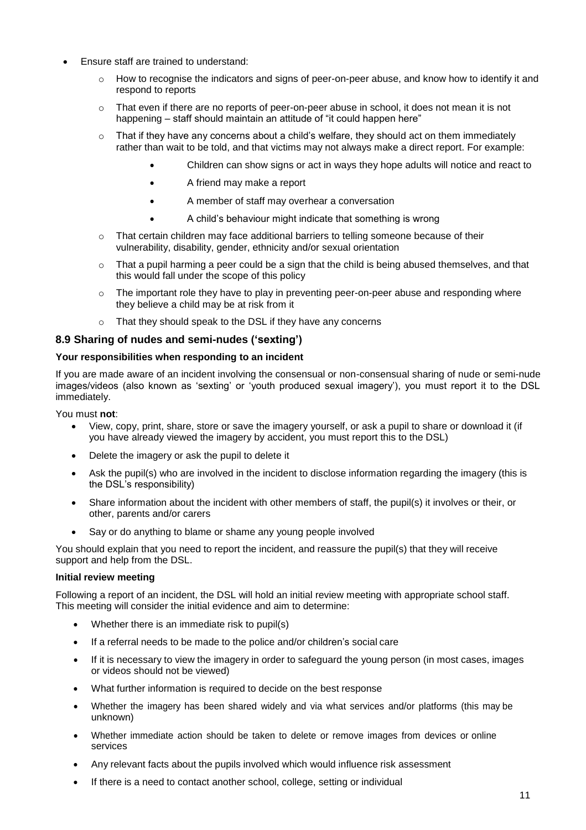- Ensure staff are trained to understand:
	- $\circ$  How to recognise the indicators and signs of peer-on-peer abuse, and know how to identify it and respond to reports
	- $\circ$  That even if there are no reports of peer-on-peer abuse in school, it does not mean it is not happening – staff should maintain an attitude of "it could happen here"
	- $\circ$  That if they have any concerns about a child's welfare, they should act on them immediately rather than wait to be told, and that victims may not always make a direct report. For example:
		- Children can show signs or act in ways they hope adults will notice and react to
		- A friend may make a report
		- A member of staff may overhear a conversation
		- A child's behaviour might indicate that something is wrong
	- $\circ$  That certain children may face additional barriers to telling someone because of their vulnerability, disability, gender, ethnicity and/or sexual orientation
	- o That a pupil harming a peer could be a sign that the child is being abused themselves, and that this would fall under the scope of this policy
	- $\circ$  The important role they have to play in preventing peer-on-peer abuse and responding where they believe a child may be at risk from it
	- o That they should speak to the DSL if they have any concerns

### **8.9 Sharing of nudes and semi-nudes ('sexting')**

### **Your responsibilities when responding to an incident**

If you are made aware of an incident involving the consensual or non-consensual sharing of nude or semi-nude images/videos (also known as 'sexting' or 'youth produced sexual imagery'), you must report it to the DSL immediately.

You must **not**:

- View, copy, print, share, store or save the imagery yourself, or ask a pupil to share or download it (if you have already viewed the imagery by accident, you must report this to the DSL)
- Delete the imagery or ask the pupil to delete it
- Ask the pupil(s) who are involved in the incident to disclose information regarding the imagery (this is the DSL's responsibility)
- Share information about the incident with other members of staff, the pupil(s) it involves or their, or other, parents and/or carers
- Say or do anything to blame or shame any young people involved

You should explain that you need to report the incident, and reassure the pupil(s) that they will receive support and help from the DSL.

### **Initial review meeting**

Following a report of an incident, the DSL will hold an initial review meeting with appropriate school staff. This meeting will consider the initial evidence and aim to determine:

- Whether there is an immediate risk to pupil(s)
- If a referral needs to be made to the police and/or children's social care
- If it is necessary to view the imagery in order to safeguard the young person (in most cases, images or videos should not be viewed)
- What further information is required to decide on the best response
- Whether the imagery has been shared widely and via what services and/or platforms (this may be unknown)
- Whether immediate action should be taken to delete or remove images from devices or online services
- Any relevant facts about the pupils involved which would influence risk assessment
- If there is a need to contact another school, college, setting or individual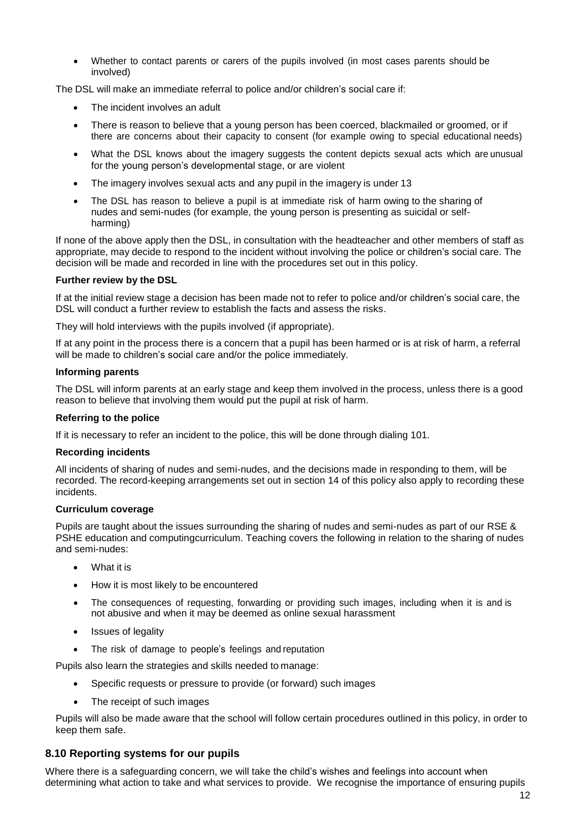Whether to contact parents or carers of the pupils involved (in most cases parents should be involved)

The DSL will make an immediate referral to police and/or children's social care if:

- The incident involves an adult
- There is reason to believe that a young person has been coerced, blackmailed or groomed, or if there are concerns about their capacity to consent (for example owing to special educational needs)
- What the DSL knows about the imagery suggests the content depicts sexual acts which are unusual for the young person's developmental stage, or are violent
- The imagery involves sexual acts and any pupil in the imagery is under 13
- The DSL has reason to believe a pupil is at immediate risk of harm owing to the sharing of nudes and semi-nudes (for example, the young person is presenting as suicidal or selfharming)

If none of the above apply then the DSL, in consultation with the headteacher and other members of staff as appropriate, may decide to respond to the incident without involving the police or children's social care. The decision will be made and recorded in line with the procedures set out in this policy.

### **Further review by the DSL**

If at the initial review stage a decision has been made not to refer to police and/or children's social care, the DSL will conduct a further review to establish the facts and assess the risks.

They will hold interviews with the pupils involved (if appropriate).

If at any point in the process there is a concern that a pupil has been harmed or is at risk of harm, a referral will be made to children's social care and/or the police immediately.

### **Informing parents**

The DSL will inform parents at an early stage and keep them involved in the process, unless there is a good reason to believe that involving them would put the pupil at risk of harm.

### **Referring to the police**

If it is necessary to refer an incident to the police, this will be done through dialing 101.

### **Recording incidents**

All incidents of sharing of nudes and semi-nudes, and the decisions made in responding to them, will be recorded. The record-keeping arrangements set out in section 14 of this policy also apply to recording these incidents.

### **Curriculum coverage**

Pupils are taught about the issues surrounding the sharing of nudes and semi-nudes as part of our RSE & PSHE education and computingcurriculum. Teaching covers the following in relation to the sharing of nudes and semi-nudes:

- What it is
- How it is most likely to be encountered
- The consequences of requesting, forwarding or providing such images, including when it is and is not abusive and when it may be deemed as online sexual harassment
- Issues of legality
- The risk of damage to people's feelings and reputation

Pupils also learn the strategies and skills needed to manage:

- Specific requests or pressure to provide (or forward) such images
- The receipt of such images

Pupils will also be made aware that the school will follow certain procedures outlined in this policy, in order to keep them safe.

### **8.10 Reporting systems for our pupils**

Where there is a safeguarding concern, we will take the child's wishes and feelings into account when determining what action to take and what services to provide. We recognise the importance of ensuring pupils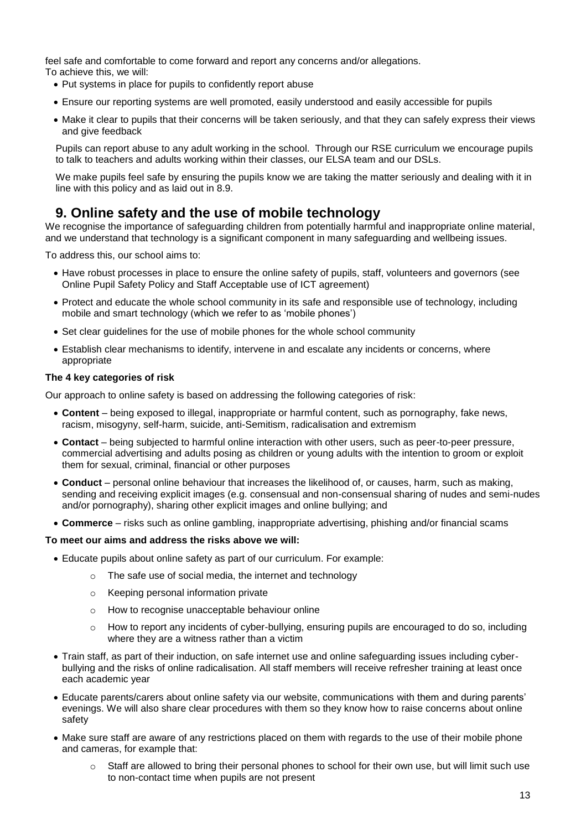feel safe and comfortable to come forward and report any concerns and/or allegations.

- To achieve this, we will:
	- Put systems in place for pupils to confidently report abuse
	- Ensure our reporting systems are well promoted, easily understood and easily accessible for pupils
	- Make it clear to pupils that their concerns will be taken seriously, and that they can safely express their views and give feedback

Pupils can report abuse to any adult working in the school. Through our RSE curriculum we encourage pupils to talk to teachers and adults working within their classes, our ELSA team and our DSLs.

We make pupils feel safe by ensuring the pupils know we are taking the matter seriously and dealing with it in line with this policy and as laid out in 8.9.

### <span id="page-12-0"></span>**9. Online safety and the use of mobile technology**

We recognise the importance of safeguarding children from potentially harmful and inappropriate online material, and we understand that technology is a significant component in many safeguarding and wellbeing issues.

To address this, our school aims to:

- Have robust processes in place to ensure the online safety of pupils, staff, volunteers and governors (see Online Pupil Safety Policy and Staff Acceptable use of ICT agreement)
- Protect and educate the whole school community in its safe and responsible use of technology, including mobile and smart technology (which we refer to as 'mobile phones')
- Set clear guidelines for the use of mobile phones for the whole school community
- Establish clear mechanisms to identify, intervene in and escalate any incidents or concerns, where appropriate

### **The 4 key categories of risk**

Our approach to online safety is based on addressing the following categories of risk:

- **Content** being exposed to illegal, inappropriate or harmful content, such as pornography, fake news, racism, misogyny, self-harm, suicide, anti-Semitism, radicalisation and extremism
- **Contact** being subjected to harmful online interaction with other users, such as peer-to-peer pressure, commercial advertising and adults posing as children or young adults with the intention to groom or exploit them for sexual, criminal, financial or other purposes
- **Conduct** personal online behaviour that increases the likelihood of, or causes, harm, such as making, sending and receiving explicit images (e.g. consensual and non-consensual sharing of nudes and semi-nudes and/or pornography), sharing other explicit images and online bullying; and
- **Commerce** risks such as online gambling, inappropriate advertising, phishing and/or financial scams

### **To meet our aims and address the risks above we will:**

- Educate pupils about online safety as part of our curriculum. For example:
	- o The safe use of social media, the internet and technology
	- o Keeping personal information private
	- o How to recognise unacceptable behaviour online
	- o How to report any incidents of cyber-bullying, ensuring pupils are encouraged to do so, including where they are a witness rather than a victim
- Train staff, as part of their induction, on safe internet use and online safeguarding issues including cyberbullying and the risks of online radicalisation. All staff members will receive refresher training at least once each academic year
- Educate parents/carers about online safety via our website, communications with them and during parents' evenings. We will also share clear procedures with them so they know how to raise concerns about online safety
- Make sure staff are aware of any restrictions placed on them with regards to the use of their mobile phone and cameras, for example that:
	- Staff are allowed to bring their personal phones to school for their own use, but will limit such use to non-contact time when pupils are not present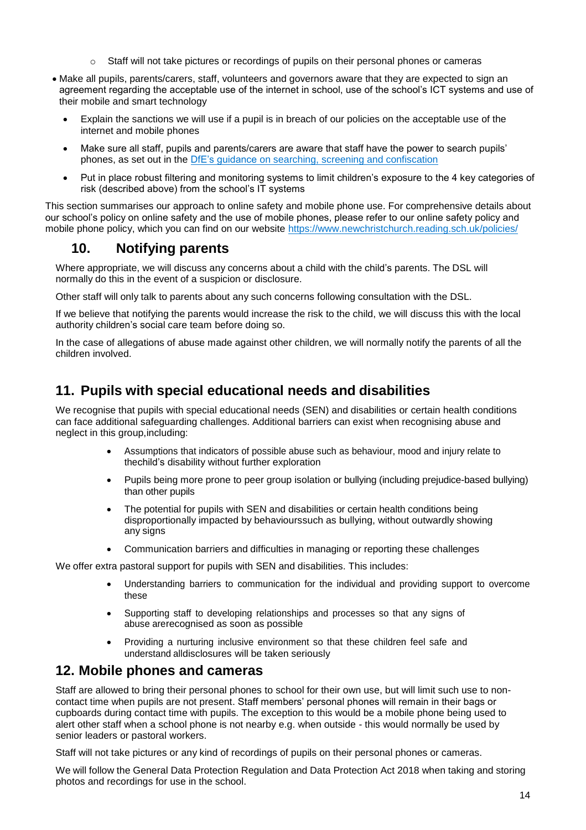- $\circ$  Staff will not take pictures or recordings of pupils on their personal phones or cameras
- Make all pupils, parents/carers, staff, volunteers and governors aware that they are expected to sign an agreement regarding the acceptable use of the internet in school, use of the school's ICT systems and use of their mobile and smart technology
	- Explain the sanctions we will use if a pupil is in breach of our policies on the acceptable use of the internet and mobile phones
	- Make sure all staff, pupils and parents/carers are aware that staff have the power to search pupils' phones, as set out in the [DfE's guidance on searching, screening and confiscation](https://www.gov.uk/government/publications/searching-screening-and-confiscation)
	- Put in place robust filtering and monitoring systems to limit children's exposure to the 4 key categories of risk (described above) from the school's IT systems

This section summarises our approach to online safety and mobile phone use. For comprehensive details about our school's policy on online safety and the use of mobile phones, please refer to our online safety policy and mobile phone policy, which you can find on our website [https://www.newchristchurch.reading.sch.uk/policies/](http://www.legislation.gov.uk/ukpga/2015/9/part/5/crossheading/female-genital-mutilation)

## **10. Notifying parents**

Where appropriate, we will discuss any concerns about a child with the child's parents. The DSL will normally do this in the event of a suspicion or disclosure.

Other staff will only talk to parents about any such concerns following consultation with the DSL.

If we believe that notifying the parents would increase the risk to the child, we will discuss this with the local authority children's social care team before doing so.

In the case of allegations of abuse made against other children, we will normally notify the parents of all the children involved.

### <span id="page-13-0"></span>**11. Pupils with special educational needs and disabilities**

We recognise that pupils with special educational needs (SEN) and disabilities or certain health conditions can face additional safeguarding challenges. Additional barriers can exist when recognising abuse and neglect in this group,including:

- Assumptions that indicators of possible abuse such as behaviour, mood and injury relate to thechild's disability without further exploration
- Pupils being more prone to peer group isolation or bullying (including prejudice-based bullying) than other pupils
- The potential for pupils with SEN and disabilities or certain health conditions being disproportionally impacted by behaviourssuch as bullying, without outwardly showing any signs
- Communication barriers and difficulties in managing or reporting these challenges

We offer extra pastoral support for pupils with SEN and disabilities. This includes:

- Understanding barriers to communication for the individual and providing support to overcome these
- Supporting staff to developing relationships and processes so that any signs of abuse arerecognised as soon as possible
- Providing a nurturing inclusive environment so that these children feel safe and understand alldisclosures will be taken seriously

### <span id="page-13-1"></span>**12. Mobile phones and cameras**

Staff are allowed to bring their personal phones to school for their own use, but will limit such use to noncontact time when pupils are not present. Staff members' personal phones will remain in their bags or cupboards during contact time with pupils. The exception to this would be a mobile phone being used to alert other staff when a school phone is not nearby e.g. when outside - this would normally be used by senior leaders or pastoral workers.

Staff will not take pictures or any kind of recordings of pupils on their personal phones or cameras.

We will follow the General Data Protection Regulation and Data Protection Act 2018 when taking and storing photos and recordings for use in the school.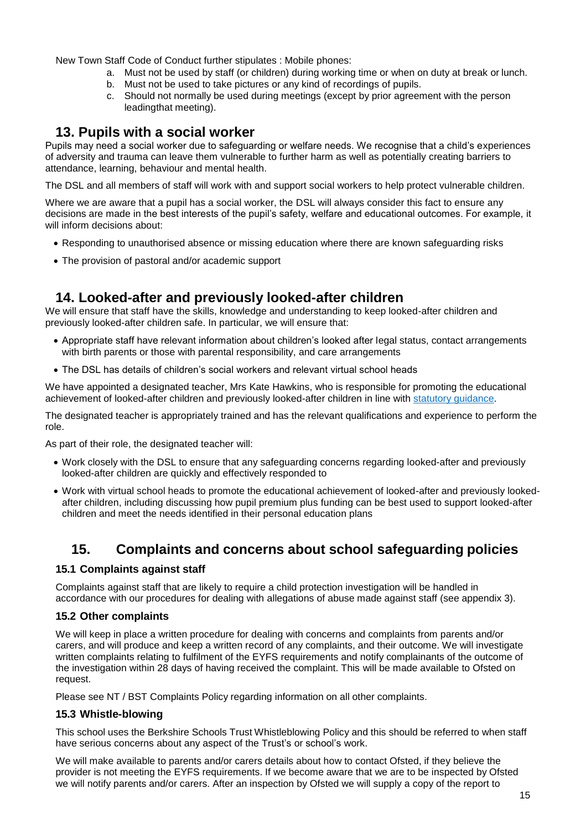New Town Staff Code of Conduct further stipulates : Mobile phones:

- a. Must not be used by staff (or children) during working time or when on duty at break or lunch.
- b. Must not be used to take pictures or any kind of recordings of pupils.
- c. Should not normally be used during meetings (except by prior agreement with the person leadingthat meeting).

### <span id="page-14-0"></span>**13. Pupils with a social worker**

Pupils may need a social worker due to safeguarding or welfare needs. We recognise that a child's experiences of adversity and trauma can leave them vulnerable to further harm as well as potentially creating barriers to attendance, learning, behaviour and mental health.

The DSL and all members of staff will work with and support social workers to help protect vulnerable children.

Where we are aware that a pupil has a social worker, the DSL will always consider this fact to ensure any decisions are made in the best interests of the pupil's safety, welfare and educational outcomes. For example, it will inform decisions about:

- Responding to unauthorised absence or missing education where there are known safeguarding risks
- The provision of pastoral and/or academic support

### **14. Looked-after and previously looked-after children**

We will ensure that staff have the skills, knowledge and understanding to keep looked-after children and previously looked-after children safe. In particular, we will ensure that:

- Appropriate staff have relevant information about children's looked after legal status, contact arrangements with birth parents or those with parental responsibility, and care arrangements
- The DSL has details of children's social workers and relevant virtual school heads

We have appointed a designated teacher, Mrs Kate Hawkins, who is responsible for promoting the educational achievement of looked-after children and previously looked-after children in line with [statutory guidance.](https://www.gov.uk/government/publications/designated-teacher-for-looked-after-children)

The designated teacher is appropriately trained and has the relevant qualifications and experience to perform the role.

As part of their role, the designated teacher will:

- Work closely with the DSL to ensure that any safeguarding concerns regarding looked-after and previously looked-after children are quickly and effectively responded to
- Work with virtual school heads to promote the educational achievement of looked-after and previously lookedafter children, including discussing how pupil premium plus funding can be best used to support looked-after children and meet the needs identified in their personal education plans

## **15. Complaints and concerns about school safeguarding policies**

### **15.1 Complaints against staff**

Complaints against staff that are likely to require a child protection investigation will be handled in accordance with our procedures for dealing with allegations of abuse made against staff (see appendix 3).

### **15.2 Other complaints**

We will keep in place a written procedure for dealing with concerns and complaints from parents and/or carers, and will produce and keep a written record of any complaints, and their outcome. We will investigate written complaints relating to fulfilment of the EYFS requirements and notify complainants of the outcome of the investigation within 28 days of having received the complaint. This will be made available to Ofsted on request.

Please see NT / BST Complaints Policy regarding information on all other complaints.

### **15.3 Whistle-blowing**

This school uses the Berkshire Schools Trust Whistleblowing Policy and this should be referred to when staff have serious concerns about any aspect of the Trust's or school's work.

We will make available to parents and/or carers details about how to contact Ofsted, if they believe the provider is not meeting the EYFS requirements. If we become aware that we are to be inspected by Ofsted we will notify parents and/or carers. After an inspection by Ofsted we will supply a copy of the report to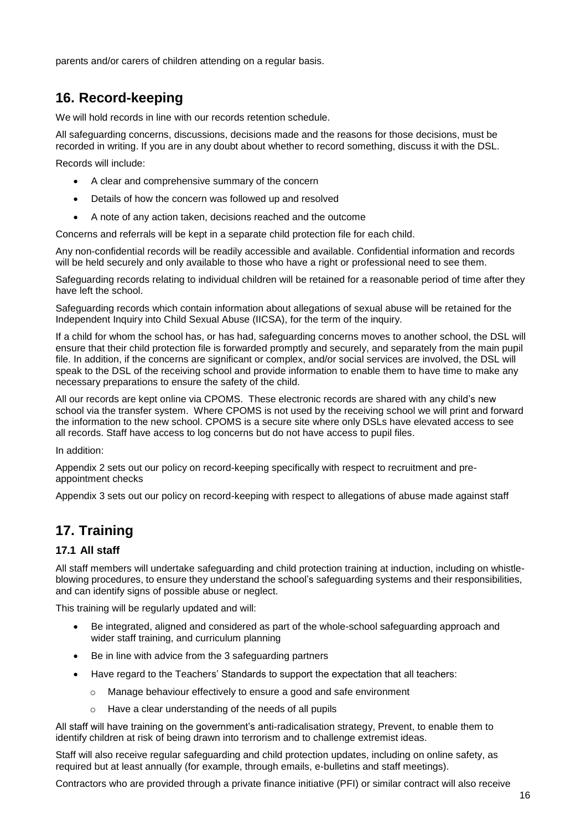parents and/or carers of children attending on a regular basis.

# <span id="page-15-0"></span>**16. Record-keeping**

We will hold records in line with our records retention schedule.

All safeguarding concerns, discussions, decisions made and the reasons for those decisions, must be recorded in writing. If you are in any doubt about whether to record something, discuss it with the DSL.

Records will include:

- A clear and comprehensive summary of the concern
- Details of how the concern was followed up and resolved
- A note of any action taken, decisions reached and the outcome

Concerns and referrals will be kept in a separate child protection file for each child.

Any non-confidential records will be readily accessible and available. Confidential information and records will be held securely and only available to those who have a right or professional need to see them.

Safeguarding records relating to individual children will be retained for a reasonable period of time after they have left the school.

Safeguarding records which contain information about allegations of sexual abuse will be retained for the Independent Inquiry into Child Sexual Abuse (IICSA), for the term of the inquiry.

If a child for whom the school has, or has had, safeguarding concerns moves to another school, the DSL will ensure that their child protection file is forwarded promptly and securely, and separately from the main pupil file. In addition, if the concerns are significant or complex, and/or social services are involved, the DSL will speak to the DSL of the receiving school and provide information to enable them to have time to make any necessary preparations to ensure the safety of the child.

All our records are kept online via CPOMS. These electronic records are shared with any child's new school via the transfer system. Where CPOMS is not used by the receiving school we will print and forward the information to the new school. CPOMS is a secure site where only DSLs have elevated access to see all records. Staff have access to log concerns but do not have access to pupil files.

In addition:

Appendix 2 sets out our policy on record-keeping specifically with respect to recruitment and preappointment checks

Appendix 3 sets out our policy on record-keeping with respect to allegations of abuse made against staff

# <span id="page-15-1"></span>**17. Training**

### **17.1 All staff**

All staff members will undertake safeguarding and child protection training at induction, including on whistleblowing procedures, to ensure they understand the school's safeguarding systems and their responsibilities, and can identify signs of possible abuse or neglect.

This training will be regularly updated and will:

- Be integrated, aligned and considered as part of the whole-school safeguarding approach and wider staff training, and curriculum planning
- Be in line with advice from the 3 safeguarding partners
- Have regard to the Teachers' Standards to support the expectation that all teachers:
	- $\circ$  Manage behaviour effectively to ensure a good and safe environment
	- o Have a clear understanding of the needs of all pupils

All staff will have training on the government's anti-radicalisation strategy, Prevent, to enable them to identify children at risk of being drawn into terrorism and to challenge extremist ideas.

Staff will also receive regular safeguarding and child protection updates, including on online safety, as required but at least annually (for example, through emails, e-bulletins and staff meetings).

Contractors who are provided through a private finance initiative (PFI) or similar contract will also receive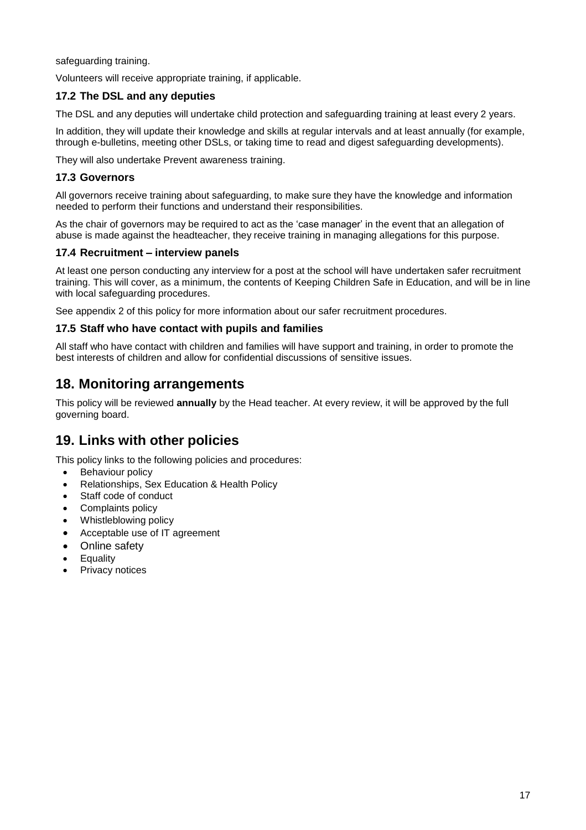safeguarding training.

Volunteers will receive appropriate training, if applicable.

### **17.2 The DSL and any deputies**

The DSL and any deputies will undertake child protection and safeguarding training at least every 2 years.

In addition, they will update their knowledge and skills at regular intervals and at least annually (for example, through e-bulletins, meeting other DSLs, or taking time to read and digest safeguarding developments).

They will also undertake Prevent awareness training.

### **17.3 Governors**

All governors receive training about safeguarding, to make sure they have the knowledge and information needed to perform their functions and understand their responsibilities.

As the chair of governors may be required to act as the 'case manager' in the event that an allegation of abuse is made against the headteacher, they receive training in managing allegations for this purpose.

### **17.4 Recruitment – interview panels**

At least one person conducting any interview for a post at the school will have undertaken safer recruitment training. This will cover, as a minimum, the contents of Keeping Children Safe in Education, and will be in line with local safeguarding procedures.

See appendix 2 of this policy for more information about our safer recruitment procedures.

### **17.5 Staff who have contact with pupils and families**

All staff who have contact with children and families will have support and training, in order to promote the best interests of children and allow for confidential discussions of sensitive issues.

### <span id="page-16-0"></span>**18. Monitoring arrangements**

This policy will be reviewed **annually** by the Head teacher. At every review, it will be approved by the full governing board.

## <span id="page-16-1"></span>**19. Links with other policies**

This policy links to the following policies and procedures:

- Behaviour policy
- Relationships, Sex Education & Health Policy
- Staff code of conduct
- Complaints policy
- Whistleblowing policy
- Acceptable use of IT agreement
- Online safety
- **Equality**
- Privacy notices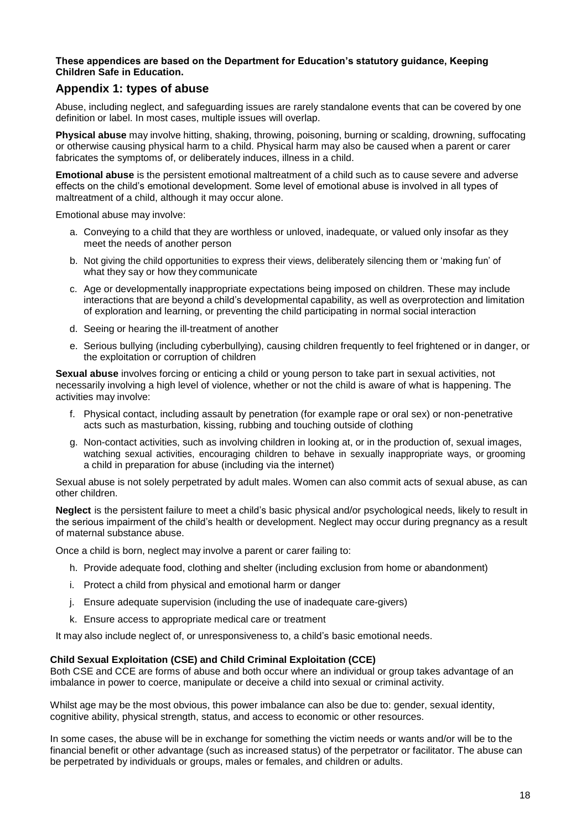### <span id="page-17-0"></span>**These appendices are based on the Department for Education's statutory guidance, Keeping Children Safe in Education.**

### **Appendix 1: types of abuse**

Abuse, including neglect, and safeguarding issues are rarely standalone events that can be covered by one definition or label. In most cases, multiple issues will overlap.

**Physical abuse** may involve hitting, shaking, throwing, poisoning, burning or scalding, drowning, suffocating or otherwise causing physical harm to a child. Physical harm may also be caused when a parent or carer fabricates the symptoms of, or deliberately induces, illness in a child.

**Emotional abuse** is the persistent emotional maltreatment of a child such as to cause severe and adverse effects on the child's emotional development. Some level of emotional abuse is involved in all types of maltreatment of a child, although it may occur alone.

Emotional abuse may involve:

- a. Conveying to a child that they are worthless or unloved, inadequate, or valued only insofar as they meet the needs of another person
- b. Not giving the child opportunities to express their views, deliberately silencing them or 'making fun' of what they say or how they communicate
- c. Age or developmentally inappropriate expectations being imposed on children. These may include interactions that are beyond a child's developmental capability, as well as overprotection and limitation of exploration and learning, or preventing the child participating in normal social interaction
- d. Seeing or hearing the ill-treatment of another
- e. Serious bullying (including cyberbullying), causing children frequently to feel frightened or in danger, or the exploitation or corruption of children

**Sexual abuse** involves forcing or enticing a child or young person to take part in sexual activities, not necessarily involving a high level of violence, whether or not the child is aware of what is happening. The activities may involve:

- f. Physical contact, including assault by penetration (for example rape or oral sex) or non-penetrative acts such as masturbation, kissing, rubbing and touching outside of clothing
- g. Non-contact activities, such as involving children in looking at, or in the production of, sexual images, watching sexual activities, encouraging children to behave in sexually inappropriate ways, or grooming a child in preparation for abuse (including via the internet)

Sexual abuse is not solely perpetrated by adult males. Women can also commit acts of sexual abuse, as can other children.

**Neglect** is the persistent failure to meet a child's basic physical and/or psychological needs, likely to result in the serious impairment of the child's health or development. Neglect may occur during pregnancy as a result of maternal substance abuse.

Once a child is born, neglect may involve a parent or carer failing to:

- h. Provide adequate food, clothing and shelter (including exclusion from home or abandonment)
- i. Protect a child from physical and emotional harm or danger
- j. Ensure adequate supervision (including the use of inadequate care-givers)
- k. Ensure access to appropriate medical care or treatment

It may also include neglect of, or unresponsiveness to, a child's basic emotional needs.

### **Child Sexual Exploitation (CSE) and Child Criminal Exploitation (CCE)**

Both CSE and CCE are forms of abuse and both occur where an individual or group takes advantage of an imbalance in power to coerce, manipulate or deceive a child into sexual or criminal activity.

Whilst age may be the most obvious, this power imbalance can also be due to: gender, sexual identity, cognitive ability, physical strength, status, and access to economic or other resources.

In some cases, the abuse will be in exchange for something the victim needs or wants and/or will be to the financial benefit or other advantage (such as increased status) of the perpetrator or facilitator. The abuse can be perpetrated by individuals or groups, males or females, and children or adults.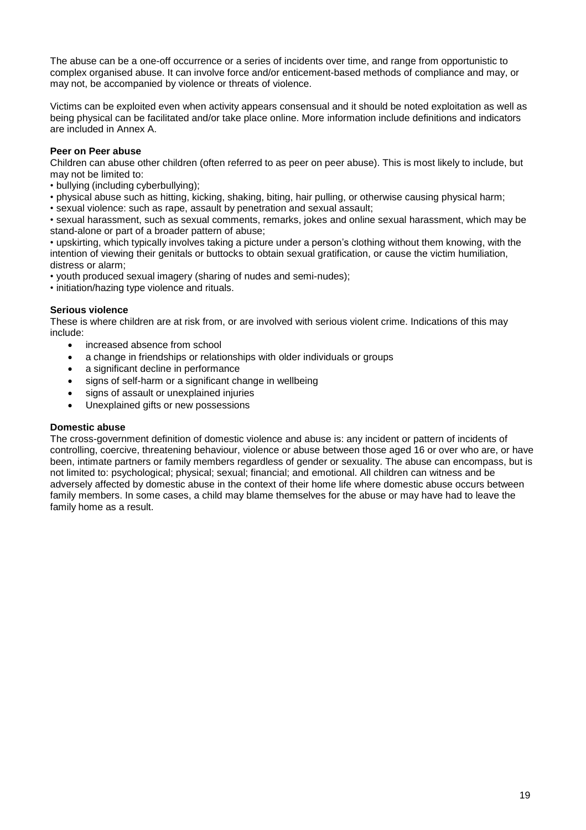The abuse can be a one-off occurrence or a series of incidents over time, and range from opportunistic to complex organised abuse. It can involve force and/or enticement-based methods of compliance and may, or may not, be accompanied by violence or threats of violence.

Victims can be exploited even when activity appears consensual and it should be noted exploitation as well as being physical can be facilitated and/or take place online. More information include definitions and indicators are included in Annex A.

### **Peer on Peer abuse**

Children can abuse other children (often referred to as peer on peer abuse). This is most likely to include, but may not be limited to:

- bullying (including cyberbullying);
- physical abuse such as hitting, kicking, shaking, biting, hair pulling, or otherwise causing physical harm;
- sexual violence: such as rape, assault by penetration and sexual assault;

• sexual harassment, such as sexual comments, remarks, jokes and online sexual harassment, which may be stand-alone or part of a broader pattern of abuse;

• upskirting, which typically involves taking a picture under a person's clothing without them knowing, with the intention of viewing their genitals or buttocks to obtain sexual gratification, or cause the victim humiliation, distress or alarm;

• youth produced sexual imagery (sharing of nudes and semi-nudes);

• initiation/hazing type violence and rituals.

### **Serious violence**

These is where children are at risk from, or are involved with serious violent crime. Indications of this may include:

- increased absence from school
- a change in friendships or relationships with older individuals or groups
- a significant decline in performance
- signs of self-harm or a significant change in wellbeing
- signs of assault or unexplained injuries
- Unexplained gifts or new possessions

### **Domestic abuse**

The cross-government definition of domestic violence and abuse is: any incident or pattern of incidents of controlling, coercive, threatening behaviour, violence or abuse between those aged 16 or over who are, or have been, intimate partners or family members regardless of gender or sexuality. The abuse can encompass, but is not limited to: psychological; physical; sexual; financial; and emotional. All children can witness and be adversely affected by domestic abuse in the context of their home life where domestic abuse occurs between family members. In some cases, a child may blame themselves for the abuse or may have had to leave the family home as a result.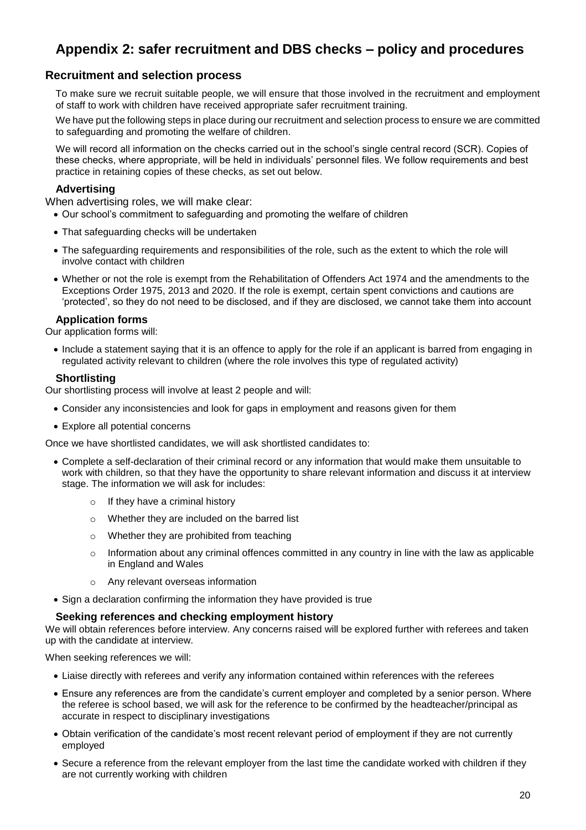# <span id="page-19-0"></span>**Appendix 2: safer recruitment and DBS checks – policy and procedures**

### **Recruitment and selection process**

To make sure we recruit suitable people, we will ensure that those involved in the recruitment and employment of staff to work with children have received appropriate safer recruitment training.

We have put the following steps in place during our recruitment and selection process to ensure we are committed to safeguarding and promoting the welfare of children.

We will record all information on the checks carried out in the school's single central record (SCR). Copies of these checks, where appropriate, will be held in individuals' personnel files. We follow requirements and best practice in retaining copies of these checks, as set out below.

### **Advertising**

When advertising roles, we will make clear:

- Our school's commitment to safeguarding and promoting the welfare of children
- That safeguarding checks will be undertaken
- The safeguarding requirements and responsibilities of the role, such as the extent to which the role will involve contact with children
- Whether or not the role is exempt from the Rehabilitation of Offenders Act 1974 and the amendments to the Exceptions Order 1975, 2013 and 2020. If the role is exempt, certain spent convictions and cautions are 'protected', so they do not need to be disclosed, and if they are disclosed, we cannot take them into account

### **Application forms**

Our application forms will:

• Include a statement saying that it is an offence to apply for the role if an applicant is barred from engaging in regulated activity relevant to children (where the role involves this type of regulated activity)

### **Shortlisting**

Our shortlisting process will involve at least 2 people and will:

- Consider any inconsistencies and look for gaps in employment and reasons given for them
- Explore all potential concerns

Once we have shortlisted candidates, we will ask shortlisted candidates to:

- Complete a self-declaration of their criminal record or any information that would make them unsuitable to work with children, so that they have the opportunity to share relevant information and discuss it at interview stage. The information we will ask for includes:
	- o If they have a criminal history
	- o Whether they are included on the barred list
	- o Whether they are prohibited from teaching
	- $\circ$  Information about any criminal offences committed in any country in line with the law as applicable in England and Wales
	- o Any relevant overseas information
- Sign a declaration confirming the information they have provided is true

### **Seeking references and checking employment history**

We will obtain references before interview. Any concerns raised will be explored further with referees and taken up with the candidate at interview.

When seeking references we will:

- Liaise directly with referees and verify any information contained within references with the referees
- Ensure any references are from the candidate's current employer and completed by a senior person. Where the referee is school based, we will ask for the reference to be confirmed by the headteacher/principal as accurate in respect to disciplinary investigations
- Obtain verification of the candidate's most recent relevant period of employment if they are not currently employed
- Secure a reference from the relevant employer from the last time the candidate worked with children if they are not currently working with children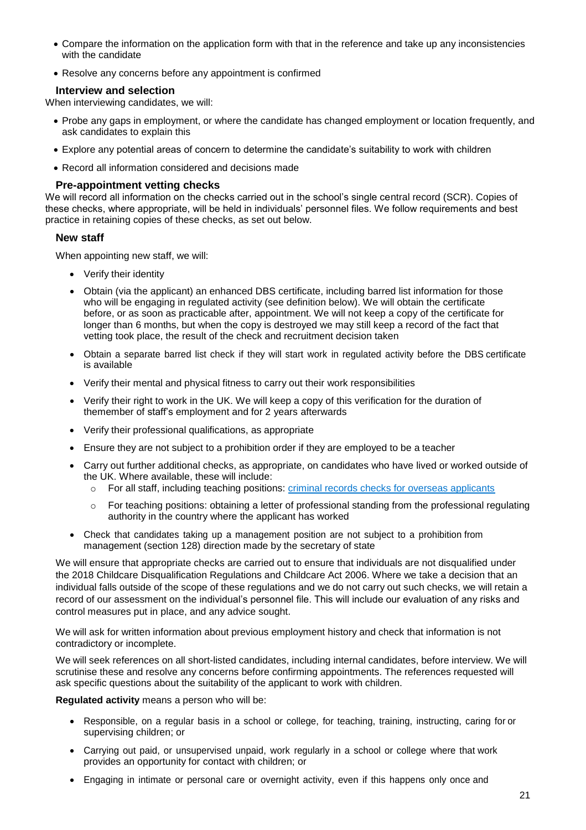- Compare the information on the application form with that in the reference and take up any inconsistencies with the candidate
- Resolve any concerns before any appointment is confirmed

### **Interview and selection**

When interviewing candidates, we will:

- Probe any gaps in employment, or where the candidate has changed employment or location frequently, and ask candidates to explain this
- Explore any potential areas of concern to determine the candidate's suitability to work with children
- Record all information considered and decisions made

### **Pre-appointment vetting checks**

We will record all information on the checks carried out in the school's single central record (SCR). Copies of these checks, where appropriate, will be held in individuals' personnel files. We follow requirements and best practice in retaining copies of these checks, as set out below.

### **New staff**

When appointing new staff, we will:

- Verify their identity
- Obtain (via the applicant) an enhanced DBS certificate, including barred list information for those who will be engaging in regulated activity (see definition below). We will obtain the certificate before, or as soon as practicable after, appointment. We will not keep a copy of the certificate for longer than 6 months, but when the copy is destroyed we may still keep a record of the fact that vetting took place, the result of the check and recruitment decision taken
- Obtain a separate barred list check if they will start work in regulated activity before the DBS certificate is available
- Verify their mental and physical fitness to carry out their work responsibilities
- Verify their right to work in the UK. We will keep a copy of this verification for the duration of themember of staff's employment and for 2 years afterwards
- Verify their professional qualifications, as appropriate
- Ensure they are not subject to a prohibition order if they are employed to be a teacher
- Carry out further additional checks, as appropriate, on candidates who have lived or worked outside of the UK. Where available, these will include:
	- o For all staff, including teaching positions: [criminal records checks for overseas applicants](https://www.gov.uk/government/publications/criminal-records-checks-for-overseas-applicants)
	- o For teaching positions: obtaining a letter of professional standing from the professional regulating authority in the country where the applicant has worked
- Check that candidates taking up a management position are not subject to a prohibition from management (section 128) direction made by the secretary of state

We will ensure that appropriate checks are carried out to ensure that individuals are not disqualified under the 2018 Childcare Disqualification Regulations and Childcare Act 2006. Where we take a decision that an individual falls outside of the scope of these regulations and we do not carry out such checks, we will retain a record of our assessment on the individual's personnel file. This will include our evaluation of any risks and control measures put in place, and any advice sought.

We will ask for written information about previous employment history and check that information is not contradictory or incomplete.

We will seek references on all short-listed candidates, including internal candidates, before interview. We will scrutinise these and resolve any concerns before confirming appointments. The references requested will ask specific questions about the suitability of the applicant to work with children.

**Regulated activity** means a person who will be:

- Responsible, on a regular basis in a school or college, for teaching, training, instructing, caring for or supervising children; or
- Carrying out paid, or unsupervised unpaid, work regularly in a school or college where that work provides an opportunity for contact with children; or
- Engaging in intimate or personal care or overnight activity, even if this happens only once and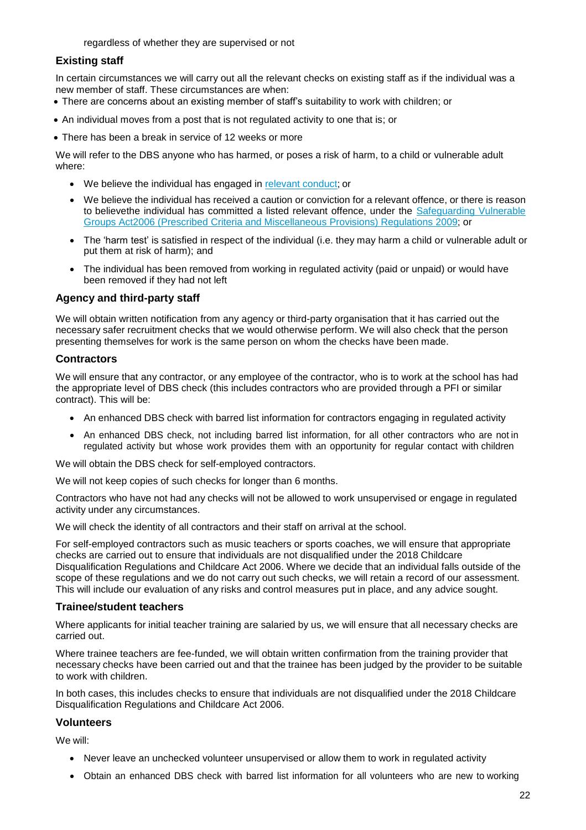regardless of whether they are supervised or not

### **Existing staff**

In certain circumstances we will carry out all the relevant checks on existing staff as if the individual was a new member of staff. These circumstances are when:

- There are concerns about an existing member of staff's suitability to work with children; or
- An individual moves from a post that is not regulated activity to one that is; or
- There has been a break in service of 12 weeks or more

We will refer to the DBS anyone who has harmed, or poses a risk of harm, to a child or vulnerable adult where:

- We believe the individual has engaged in relevant [conduct;](https://www.newchristchurch.reading.sch.uk/policies/#relevant-conduct-in-relation-to-children) or
- We believe the individual has received a caution or conviction for a relevant offence, or there is reason to believethe individual has committed a listed relevant offence, under the [Safeguarding Vulnerable](http://www.legislation.gov.uk/uksi/2009/37/contents/made)  [Groups Act2](http://www.legislation.gov.uk/uksi/2009/37/contents/made)006 (Prescribed Criteria and Miscellaneous [Provisions\) Regulations](https://www.gov.uk/government/publications/prevent-duty-guidance) 2009; or
- The 'harm test' is satisfied in respect of the individual (i.e. they may harm a child or vulnerable adult or put them at risk of harm); and
- The individual has been removed from working in regulated activity (paid or unpaid) or would have been removed if they had not left

### **Agency and third-party staff**

We will obtain written notification from any agency or third-party organisation that it has carried out the necessary safer recruitment checks that we would otherwise perform. We will also check that the person presenting themselves for work is the same person on whom the checks have been made.

### **Contractors**

We will ensure that any contractor, or any employee of the contractor, who is to work at the school has had the appropriate level of DBS check (this includes contractors who are provided through a PFI or similar contract). This will be:

- An enhanced DBS check with barred list information for contractors engaging in regulated activity
- An enhanced DBS check, not including barred list information, for all other contractors who are not in regulated activity but whose work provides them with an opportunity for regular contact with children

We will obtain the DBS check for self-employed contractors.

We will not keep copies of such checks for longer than 6 months.

Contractors who have not had any checks will not be allowed to work unsupervised or engage in regulated activity under any circumstances.

We will check the identity of all contractors and their staff on arrival at the school.

For self-employed contractors such as music teachers or sports coaches, we will ensure that appropriate checks are carried out to ensure that individuals are not disqualified under the 2018 Childcare Disqualification Regulations and Childcare Act 2006. Where we decide that an individual falls outside of the scope of these regulations and we do not carry out such checks, we will retain a record of our assessment. This will include our evaluation of any risks and control measures put in place, and any advice sought.

### **Trainee/student teachers**

Where applicants for initial teacher training are salaried by us, we will ensure that all necessary checks are carried out.

Where trainee teachers are fee-funded, we will obtain written confirmation from the training provider that necessary checks have been carried out and that the trainee has been judged by the provider to be suitable to work with children.

In both cases, this includes checks to ensure that individuals are not disqualified under the 2018 Childcare Disqualification Regulations and Childcare Act 2006.

### **Volunteers**

We will:

- Never leave an unchecked volunteer unsupervised or allow them to work in regulated activity
- Obtain an enhanced DBS check with barred list information for all volunteers who are new to working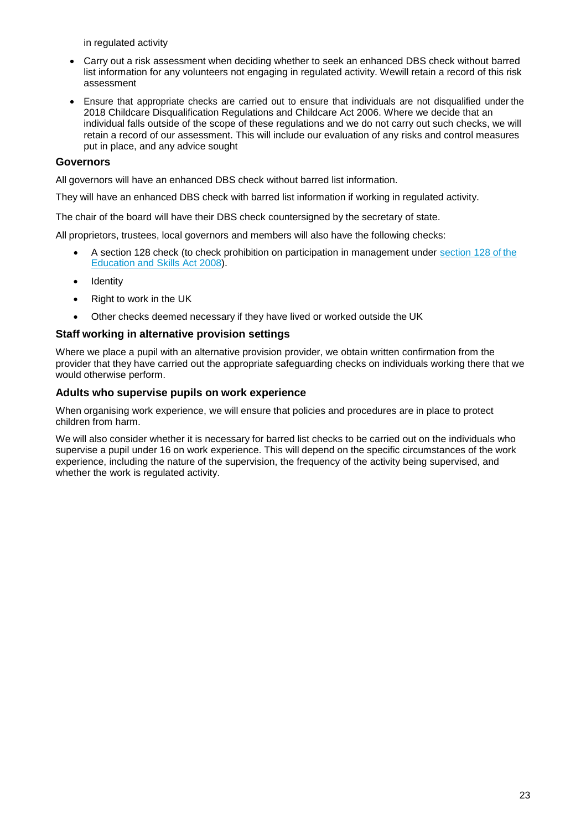in regulated activity

- Carry out a risk assessment when deciding whether to seek an enhanced DBS check without barred list information for any volunteers not engaging in regulated activity. Wewill retain a record of this risk assessment
- Ensure that appropriate checks are carried out to ensure that individuals are not disqualified under the 2018 Childcare Disqualification Regulations and Childcare Act 2006. Where we decide that an individual falls outside of the scope of these regulations and we do not carry out such checks, we will retain a record of our assessment. This will include our evaluation of any risks and control measures put in place, and any advice sought

### **Governors**

All governors will have an enhanced DBS check without barred list information.

They will have an enhanced DBS check with barred list information if working in regulated activity.

The chair of the board will have their DBS check countersigned by the secretary of state.

All proprietors, trustees, local governors and members will also have the following checks:

- A section 128 check (to check prohibition on participation in management under [section](https://www.gov.uk/government/publications/keeping-children-safe-in-education--2) 128 of the [Education](https://www.legislation.gov.uk/ukpga/2008/25/section/128) and Skills Act 2008).
- Identity
- Right to work in the UK
- Other checks deemed necessary if they have lived or worked outside the UK

### **Staff working in alternative provision settings**

Where we place a pupil with an alternative provision provider, we obtain written confirmation from the provider that they have carried out the appropriate safeguarding checks on individuals working there that we would otherwise perform.

### **Adults who supervise pupils on work experience**

When organising work experience, we will ensure that policies and procedures are in place to protect children from harm.

We will also consider whether it is necessary for barred list checks to be carried out on the individuals who supervise a pupil under 16 on work experience. This will depend on the specific circumstances of the work experience, including the nature of the supervision, the frequency of the activity being supervised, and whether the work is regulated activity.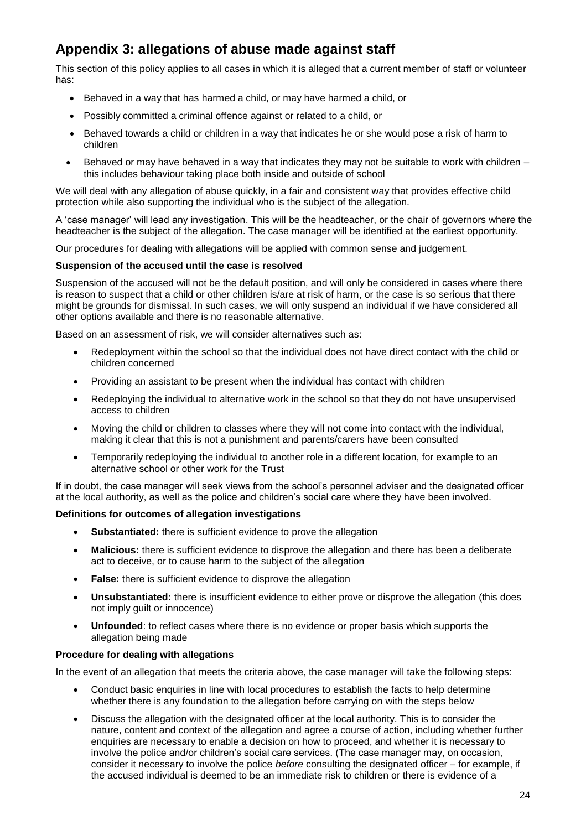# <span id="page-23-0"></span>**Appendix 3: allegations of abuse made against staff**

This section of this policy applies to all cases in which it is alleged that a current member of staff or volunteer has:

- Behaved in a way that has harmed a child, or may have harmed a child, or
- Possibly committed a criminal offence against or related to a child, or
- Behaved towards a child or children in a way that indicates he or she would pose a risk of harm to children
- Behaved or may have behaved in a way that indicates they may not be suitable to work with children this includes behaviour taking place both inside and outside of school

We will deal with any allegation of abuse quickly, in a fair and consistent way that provides effective child protection while also supporting the individual who is the subject of the allegation.

A 'case manager' will lead any investigation. This will be the headteacher, or the chair of governors where the headteacher is the subject of the allegation. The case manager will be identified at the earliest opportunity.

Our procedures for dealing with allegations will be applied with common sense and judgement.

### **Suspension of the accused until the case is resolved**

Suspension of the accused will not be the default position, and will only be considered in cases where there is reason to suspect that a child or other children is/are at risk of harm, or the case is so serious that there might be grounds for dismissal. In such cases, we will only suspend an individual if we have considered all other options available and there is no reasonable alternative.

Based on an assessment of risk, we will consider alternatives such as:

- Redeployment within the school so that the individual does not have direct contact with the child or children concerned
- Providing an assistant to be present when the individual has contact with children
- Redeploying the individual to alternative work in the school so that they do not have unsupervised access to children
- Moving the child or children to classes where they will not come into contact with the individual, making it clear that this is not a punishment and parents/carers have been consulted
- Temporarily redeploying the individual to another role in a different location, for example to an alternative school or other work for the Trust

If in doubt, the case manager will seek views from the school's personnel adviser and the designated officer at the local authority, as well as the police and children's social care where they have been involved.

### **Definitions for outcomes of allegation investigations**

- **Substantiated:** there is sufficient evidence to prove the allegation
- **Malicious:** there is sufficient evidence to disprove the allegation and there has been a deliberate act to deceive, or to cause harm to the subject of the allegation
- **False:** there is sufficient evidence to disprove the allegation
- **Unsubstantiated:** there is insufficient evidence to either prove or disprove the allegation (this does not imply guilt or innocence)
- **Unfounded**: to reflect cases where there is no evidence or proper basis which supports the allegation being made

### **Procedure for dealing with allegations**

In the event of an allegation that meets the criteria above, the case manager will take the following steps:

- Conduct basic enquiries in line with local procedures to establish the facts to help determine whether there is any foundation to the allegation before carrying on with the steps below
- Discuss the allegation with the designated officer at the local authority. This is to consider the nature, content and context of the allegation and agree a course of action, including whether further enquiries are necessary to enable a decision on how to proceed, and whether it is necessary to involve the police and/or children's social care services. (The case manager may, on occasion, consider it necessary to involve the police *before* consulting the designated officer – for example, if the accused individual is deemed to be an immediate risk to children or there is evidence of a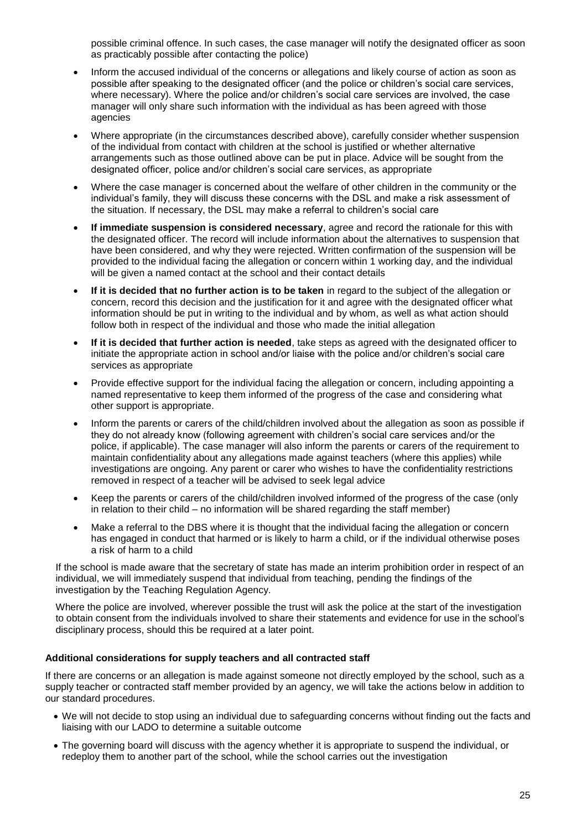possible criminal offence. In such cases, the case manager will notify the designated officer as soon as practicably possible after contacting the police)

- Inform the accused individual of the concerns or allegations and likely course of action as soon as possible after speaking to the designated officer (and the police or children's social care services, where necessary). Where the police and/or children's social care services are involved, the case manager will only share such information with the individual as has been agreed with those agencies
- Where appropriate (in the circumstances described above), carefully consider whether suspension of the individual from contact with children at the school is justified or whether alternative arrangements such as those outlined above can be put in place. Advice will be sought from the designated officer, police and/or children's social care services, as appropriate
- Where the case manager is concerned about the welfare of other children in the community or the individual's family, they will discuss these concerns with the DSL and make a risk assessment of the situation. If necessary, the DSL may make a referral to children's social care
- **If immediate suspension is considered necessary**, agree and record the rationale for this with the designated officer. The record will include information about the alternatives to suspension that have been considered, and why they were rejected. Written confirmation of the suspension will be provided to the individual facing the allegation or concern within 1 working day, and the individual will be given a named contact at the school and their contact details
- **If it is decided that no further action is to be taken** in regard to the subject of the allegation or concern, record this decision and the justification for it and agree with the designated officer what information should be put in writing to the individual and by whom, as well as what action should follow both in respect of the individual and those who made the initial allegation
- **If it is decided that further action is needed**, take steps as agreed with the designated officer to initiate the appropriate action in school and/or liaise with the police and/or children's social care services as appropriate
- Provide effective support for the individual facing the allegation or concern, including appointing a named representative to keep them informed of the progress of the case and considering what other support is appropriate.
- Inform the parents or carers of the child/children involved about the allegation as soon as possible if they do not already know (following agreement with children's social care services and/or the police, if applicable). The case manager will also inform the parents or carers of the requirement to maintain confidentiality about any allegations made against teachers (where this applies) while investigations are ongoing. Any parent or carer who wishes to have the confidentiality restrictions removed in respect of a teacher will be advised to seek legal advice
- Keep the parents or carers of the child/children involved informed of the progress of the case (only in relation to their child – no information will be shared regarding the staff member)
- Make a referral to the DBS where it is thought that the individual facing the allegation or concern has engaged in conduct that harmed or is likely to harm a child, or if the individual otherwise poses a risk of harm to a child

If the school is made aware that the secretary of state has made an interim prohibition order in respect of an individual, we will immediately suspend that individual from teaching, pending the findings of the investigation by the Teaching Regulation Agency.

Where the police are involved, wherever possible the trust will ask the police at the start of the investigation to obtain consent from the individuals involved to share their statements and evidence for use in the school's disciplinary process, should this be required at a later point.

### **Additional considerations for supply teachers and all contracted staff**

If there are concerns or an allegation is made against someone not directly employed by the school, such as a supply teacher or contracted staff member provided by an agency, we will take the actions below in addition to our standard procedures.

- We will not decide to stop using an individual due to safeguarding concerns without finding out the facts and liaising with our LADO to determine a suitable outcome
- The governing board will discuss with the agency whether it is appropriate to suspend the individual, or redeploy them to another part of the school, while the school carries out the investigation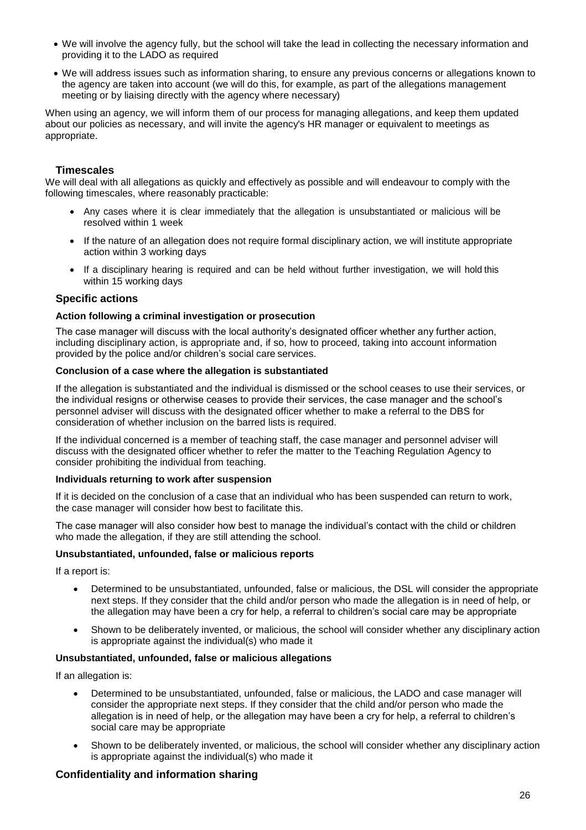- We will involve the agency fully, but the school will take the lead in collecting the necessary information and providing it to the LADO as required
- We will address issues such as information sharing, to ensure any previous concerns or allegations known to the agency are taken into account (we will do this, for example, as part of the allegations management meeting or by liaising directly with the agency where necessary)

When using an agency, we will inform them of our process for managing allegations, and keep them updated about our policies as necessary, and will invite the agency's HR manager or equivalent to meetings as appropriate.

### **Timescales**

We will deal with all allegations as quickly and effectively as possible and will endeavour to comply with the following timescales, where reasonably practicable:

- Any cases where it is clear immediately that the allegation is unsubstantiated or malicious will be resolved within 1 week
- If the nature of an allegation does not require formal disciplinary action, we will institute appropriate action within 3 working days
- If a disciplinary hearing is required and can be held without further investigation, we will hold this within 15 working days

### **Specific actions**

### **Action following a criminal investigation or prosecution**

The case manager will discuss with the local authority's designated officer whether any further action, including disciplinary action, is appropriate and, if so, how to proceed, taking into account information provided by the police and/or children's social care services.

### **Conclusion of a case where the allegation is substantiated**

If the allegation is substantiated and the individual is dismissed or the school ceases to use their services, or the individual resigns or otherwise ceases to provide their services, the case manager and the school's personnel adviser will discuss with the designated officer whether to make a referral to the DBS for consideration of whether inclusion on the barred lists is required.

If the individual concerned is a member of teaching staff, the case manager and personnel adviser will discuss with the designated officer whether to refer the matter to the Teaching Regulation Agency to consider prohibiting the individual from teaching.

### **Individuals returning to work after suspension**

If it is decided on the conclusion of a case that an individual who has been suspended can return to work, the case manager will consider how best to facilitate this.

The case manager will also consider how best to manage the individual's contact with the child or children who made the allegation, if they are still attending the school.

### **Unsubstantiated, unfounded, false or malicious reports**

If a report is:

- Determined to be unsubstantiated, unfounded, false or malicious, the DSL will consider the appropriate next steps. If they consider that the child and/or person who made the allegation is in need of help, or the allegation may have been a cry for help, a referral to children's social care may be appropriate
- Shown to be deliberately invented, or malicious, the school will consider whether any disciplinary action is appropriate against the individual(s) who made it

### **Unsubstantiated, unfounded, false or malicious allegations**

If an allegation is:

- Determined to be unsubstantiated, unfounded, false or malicious, the LADO and case manager will consider the appropriate next steps. If they consider that the child and/or person who made the allegation is in need of help, or the allegation may have been a cry for help, a referral to children's social care may be appropriate
- Shown to be deliberately invented, or malicious, the school will consider whether any disciplinary action is appropriate against the individual(s) who made it

### **Confidentiality and information sharing**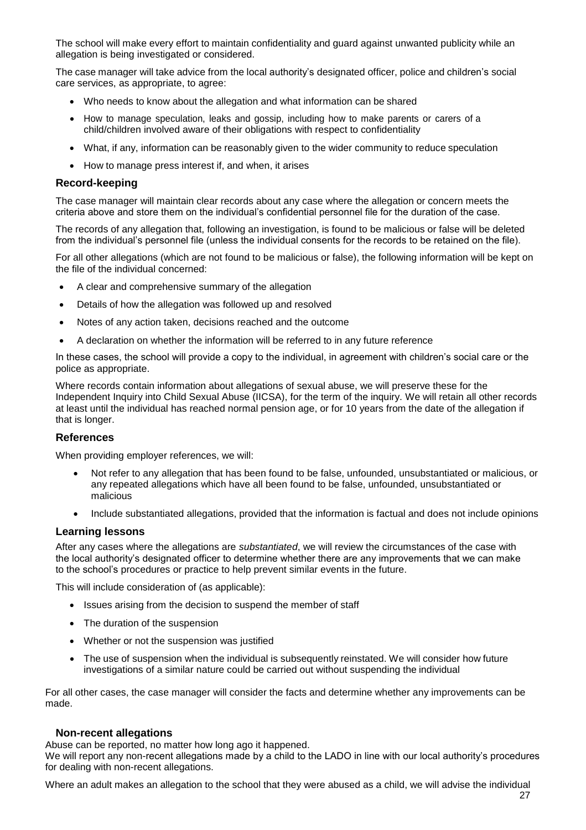The school will make every effort to maintain confidentiality and guard against unwanted publicity while an allegation is being investigated or considered.

The case manager will take advice from the local authority's designated officer, police and children's social care services, as appropriate, to agree:

- Who needs to know about the allegation and what information can be shared
- How to manage speculation, leaks and gossip, including how to make parents or carers of a child/children involved aware of their obligations with respect to confidentiality
- What, if any, information can be reasonably given to the wider community to reduce speculation
- How to manage press interest if, and when, it arises

### **Record-keeping**

The case manager will maintain clear records about any case where the allegation or concern meets the criteria above and store them on the individual's confidential personnel file for the duration of the case.

The records of any allegation that, following an investigation, is found to be malicious or false will be deleted from the individual's personnel file (unless the individual consents for the records to be retained on the file).

For all other allegations (which are not found to be malicious or false), the following information will be kept on the file of the individual concerned:

- A clear and comprehensive summary of the allegation
- Details of how the allegation was followed up and resolved
- Notes of any action taken, decisions reached and the outcome
- A declaration on whether the information will be referred to in any future reference

In these cases, the school will provide a copy to the individual, in agreement with children's social care or the police as appropriate.

Where records contain information about allegations of sexual abuse, we will preserve these for the Independent Inquiry into Child Sexual Abuse (IICSA), for the term of the inquiry. We will retain all other records at least until the individual has reached normal pension age, or for 10 years from the date of the allegation if that is longer.

### **References**

When providing employer references, we will:

- Not refer to any allegation that has been found to be false, unfounded, unsubstantiated or malicious, or any repeated allegations which have all been found to be false, unfounded, unsubstantiated or malicious
- Include substantiated allegations, provided that the information is factual and does not include opinions

### **Learning lessons**

After any cases where the allegations are *substantiated*, we will review the circumstances of the case with the local authority's designated officer to determine whether there are any improvements that we can make to the school's procedures or practice to help prevent similar events in the future.

This will include consideration of (as applicable):

- Issues arising from the decision to suspend the member of staff
- The duration of the suspension
- Whether or not the suspension was justified
- The use of suspension when the individual is subsequently reinstated. We will consider how future investigations of a similar nature could be carried out without suspending the individual

For all other cases, the case manager will consider the facts and determine whether any improvements can be made.

### **Non-recent allegations**

Abuse can be reported, no matter how long ago it happened.

We will report any non-recent allegations made by a child to the LADO in line with our local authority's procedures for dealing with non-recent allegations.

Where an adult makes an allegation to the school that they were abused as a child, we will advise the individual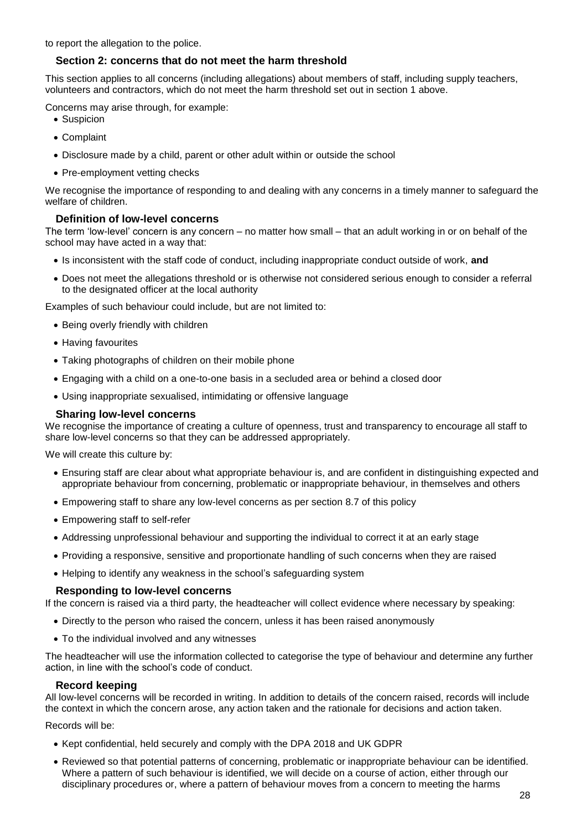to report the allegation to the police.

### **Section 2: concerns that do not meet the harm threshold**

This section applies to all concerns (including allegations) about members of staff, including supply teachers, volunteers and contractors, which do not meet the harm threshold set out in section 1 above.

Concerns may arise through, for example:

- Suspicion
- Complaint
- Disclosure made by a child, parent or other adult within or outside the school
- Pre-employment vetting checks

We recognise the importance of responding to and dealing with any concerns in a timely manner to safeguard the welfare of children.

### **Definition of low-level concerns**

The term 'low-level' concern is any concern – no matter how small – that an adult working in or on behalf of the school may have acted in a way that:

- Is inconsistent with the staff code of conduct, including inappropriate conduct outside of work, **and**
- Does not meet the allegations threshold or is otherwise not considered serious enough to consider a referral to the designated officer at the local authority

Examples of such behaviour could include, but are not limited to:

- Being overly friendly with children
- Having favourites
- Taking photographs of children on their mobile phone
- Engaging with a child on a one-to-one basis in a secluded area or behind a closed door
- Using inappropriate sexualised, intimidating or offensive language

### **Sharing low-level concerns**

We recognise the importance of creating a culture of openness, trust and transparency to encourage all staff to share low-level concerns so that they can be addressed appropriately.

We will create this culture by:

- Ensuring staff are clear about what appropriate behaviour is, and are confident in distinguishing expected and appropriate behaviour from concerning, problematic or inappropriate behaviour, in themselves and others
- Empowering staff to share any low-level concerns as per section 8.7 of this policy
- Empowering staff to self-refer
- Addressing unprofessional behaviour and supporting the individual to correct it at an early stage
- Providing a responsive, sensitive and proportionate handling of such concerns when they are raised
- Helping to identify any weakness in the school's safeguarding system

### **Responding to low-level concerns**

If the concern is raised via a third party, the headteacher will collect evidence where necessary by speaking:

- Directly to the person who raised the concern, unless it has been raised anonymously
- To the individual involved and any witnesses

The headteacher will use the information collected to categorise the type of behaviour and determine any further action, in line with the school's code of conduct.

### **Record keeping**

All low-level concerns will be recorded in writing. In addition to details of the concern raised, records will include the context in which the concern arose, any action taken and the rationale for decisions and action taken.

Records will be:

- Kept confidential, held securely and comply with the DPA 2018 and UK GDPR
- Reviewed so that potential patterns of concerning, problematic or inappropriate behaviour can be identified. Where a pattern of such behaviour is identified, we will decide on a course of action, either through our disciplinary procedures or, where a pattern of behaviour moves from a concern to meeting the harms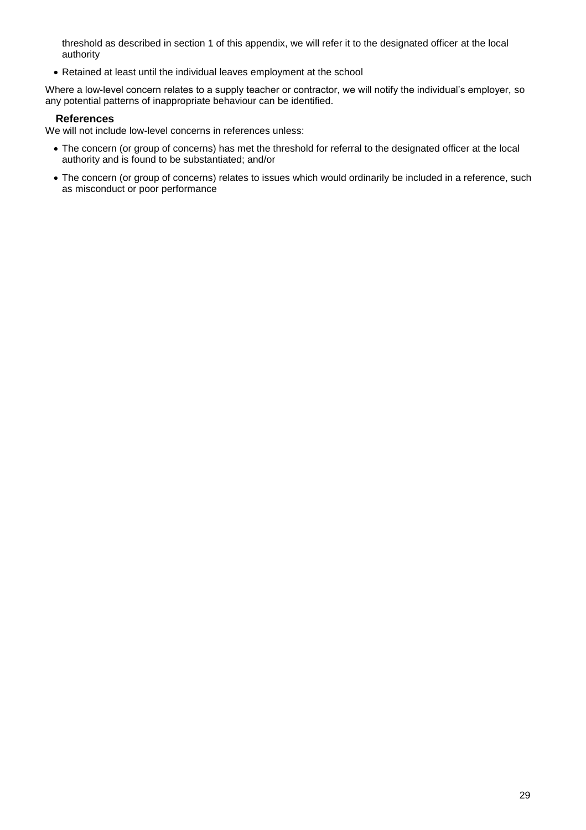threshold as described in section 1 of this appendix, we will refer it to the designated officer at the local authority

Retained at least until the individual leaves employment at the school

Where a low-level concern relates to a supply teacher or contractor, we will notify the individual's employer, so any potential patterns of inappropriate behaviour can be identified.

### **References**

We will not include low-level concerns in references unless:

- The concern (or group of concerns) has met the threshold for referral to the designated officer at the local authority and is found to be substantiated; and/or
- The concern (or group of concerns) relates to issues which would ordinarily be included in a reference, such as misconduct or poor performance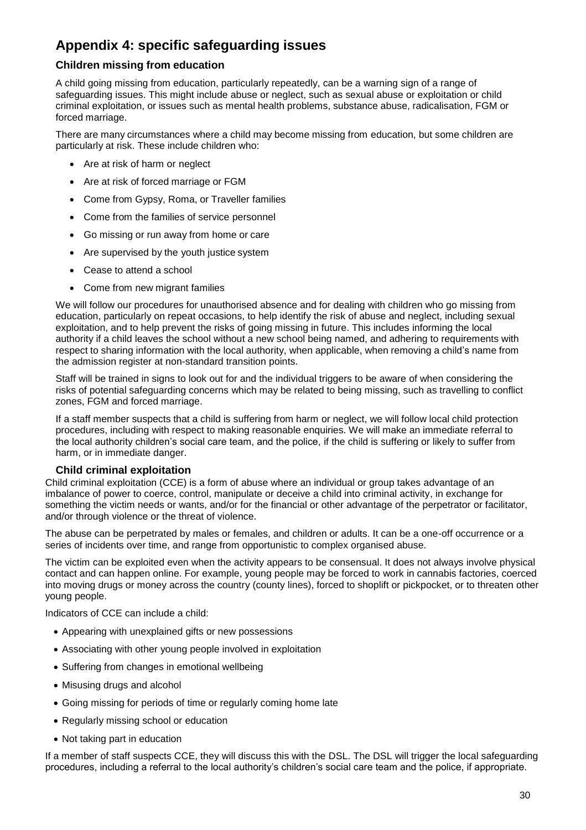# <span id="page-29-0"></span>**Appendix 4: specific safeguarding issues**

### **Children missing from education**

A child going missing from education, particularly repeatedly, can be a warning sign of a range of safeguarding issues. This might include abuse or neglect, such as sexual abuse or exploitation or child criminal exploitation, or issues such as mental health problems, substance abuse, radicalisation, FGM or forced marriage.

There are many circumstances where a child may become missing from education, but some children are particularly at risk. These include children who:

- Are at risk of harm or neglect
- Are at risk of forced marriage or FGM
- Come from Gypsy, Roma, or Traveller families
- Come from the families of service personnel
- Go missing or run away from home or care
- Are supervised by the youth justice system
- Cease to attend a school
- Come from new migrant families

We will follow our procedures for unauthorised absence and for dealing with children who go missing from education, particularly on repeat occasions, to help identify the risk of abuse and neglect, including sexual exploitation, and to help prevent the risks of going missing in future. This includes informing the local authority if a child leaves the school without a new school being named, and adhering to requirements with respect to sharing information with the local authority, when applicable, when removing a child's name from the admission register at non-standard transition points.

Staff will be trained in signs to look out for and the individual triggers to be aware of when considering the risks of potential safeguarding concerns which may be related to being missing, such as travelling to conflict zones, FGM and forced marriage.

If a staff member suspects that a child is suffering from harm or neglect, we will follow local child protection procedures, including with respect to making reasonable enquiries. We will make an immediate referral to the local authority children's social care team, and the police, if the child is suffering or likely to suffer from harm, or in immediate danger.

### **Child criminal exploitation**

Child criminal exploitation (CCE) is a form of abuse where an individual or group takes advantage of an imbalance of power to coerce, control, manipulate or deceive a child into criminal activity, in exchange for something the victim needs or wants, and/or for the financial or other advantage of the perpetrator or facilitator, and/or through violence or the threat of violence.

The abuse can be perpetrated by males or females, and children or adults. It can be a one-off occurrence or a series of incidents over time, and range from opportunistic to complex organised abuse.

The victim can be exploited even when the activity appears to be consensual. It does not always involve physical contact and can happen online. For example, young people may be forced to work in cannabis factories, coerced into moving drugs or money across the country (county lines), forced to shoplift or pickpocket, or to threaten other young people.

Indicators of CCE can include a child:

- Appearing with unexplained gifts or new possessions
- Associating with other young people involved in exploitation
- Suffering from changes in emotional wellbeing
- Misusing drugs and alcohol
- Going missing for periods of time or regularly coming home late
- Regularly missing school or education
- Not taking part in education

If a member of staff suspects CCE, they will discuss this with the DSL. The DSL will trigger the local safeguarding procedures, including a referral to the local authority's children's social care team and the police, if appropriate.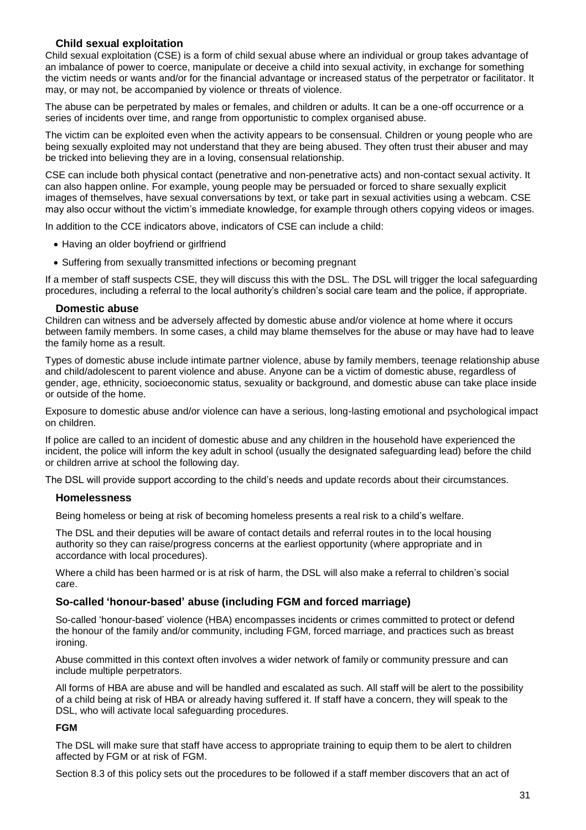### **Child sexual exploitation**

Child sexual exploitation (CSE) is a form of child sexual abuse where an individual or group takes advantage of an imbalance of power to coerce, manipulate or deceive a child into sexual activity, in exchange for something the victim needs or wants and/or for the financial advantage or increased status of the perpetrator or facilitator. It may, or may not, be accompanied by violence or threats of violence.

The abuse can be perpetrated by males or females, and children or adults. It can be a one-off occurrence or a series of incidents over time, and range from opportunistic to complex organised abuse.

The victim can be exploited even when the activity appears to be consensual. Children or young people who are being sexually exploited may not understand that they are being abused. They often trust their abuser and may be tricked into believing they are in a loving, consensual relationship.

CSE can include both physical contact (penetrative and non-penetrative acts) and non-contact sexual activity. It can also happen online. For example, young people may be persuaded or forced to share sexually explicit images of themselves, have sexual conversations by text, or take part in sexual activities using a webcam. CSE may also occur without the victim's immediate knowledge, for example through others copying videos or images.

In addition to the CCE indicators above, indicators of CSE can include a child:

- Having an older boyfriend or girlfriend
- Suffering from sexually transmitted infections or becoming pregnant

If a member of staff suspects CSE, they will discuss this with the DSL. The DSL will trigger the local safeguarding procedures, including a referral to the local authority's children's social care team and the police, if appropriate.

### **Domestic abuse**

Children can witness and be adversely affected by domestic abuse and/or violence at home where it occurs between family members. In some cases, a child may blame themselves for the abuse or may have had to leave the family home as a result.

Types of domestic abuse include intimate partner violence, abuse by family members, teenage relationship abuse and child/adolescent to parent violence and abuse. Anyone can be a victim of domestic abuse, regardless of gender, age, ethnicity, socioeconomic status, sexuality or background, and domestic abuse can take place inside or outside of the home.

Exposure to domestic abuse and/or violence can have a serious, long-lasting emotional and psychological impact on children.

If police are called to an incident of domestic abuse and any children in the household have experienced the incident, the police will inform the key adult in school (usually the designated safeguarding lead) before the child or children arrive at school the following day.

The DSL will provide support according to the child's needs and update records about their circumstances.

### **Homelessness**

Being homeless or being at risk of becoming homeless presents a real risk to a child's welfare.

The DSL and their deputies will be aware of contact details and referral routes in to the local housing authority so they can raise/progress concerns at the earliest opportunity (where appropriate and in accordance with local procedures).

Where a child has been harmed or is at risk of harm, the DSL will also make a referral to children's social care.

### **So-called 'honour-based' abuse (including FGM and forced marriage)**

So-called 'honour-based' violence (HBA) encompasses incidents or crimes committed to protect or defend the honour of the family and/or community, including FGM, forced marriage, and practices such as breast ironing.

Abuse committed in this context often involves a wider network of family or community pressure and can include multiple perpetrators.

All forms of HBA are abuse and will be handled and escalated as such. All staff will be alert to the possibility of a child being at risk of HBA or already having suffered it. If staff have a concern, they will speak to the DSL, who will activate local safeguarding procedures.

### **FGM**

The DSL will make sure that staff have access to appropriate training to equip them to be alert to children affected by FGM or at risk of FGM.

Section 8.3 of this policy sets out the procedures to be followed if a staff member discovers that an act of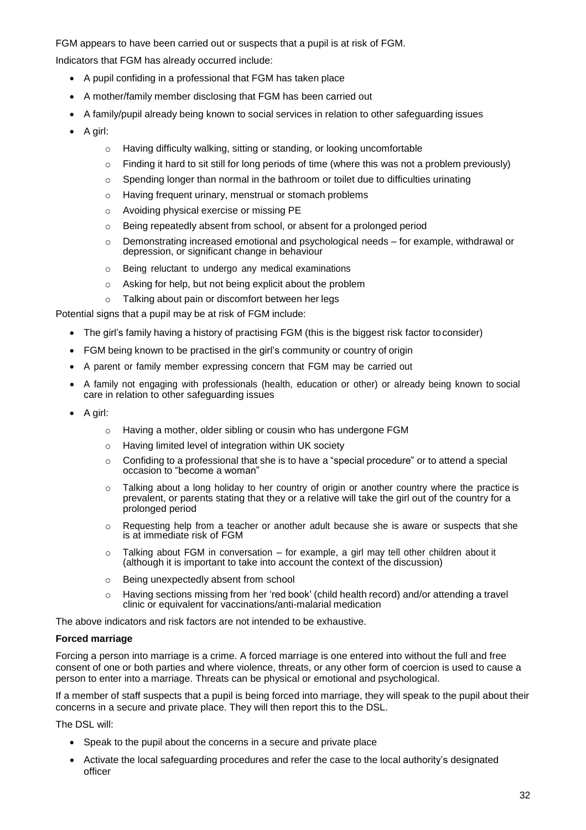FGM appears to have been carried out or suspects that a pupil is at risk of FGM.

Indicators that FGM has already occurred include:

- A pupil confiding in a professional that FGM has taken place
- A mother/family member disclosing that FGM has been carried out
- A family/pupil already being known to social services in relation to other safeguarding issues
- A girl:
	- o Having difficulty walking, sitting or standing, or looking uncomfortable
	- $\circ$  Finding it hard to sit still for long periods of time (where this was not a problem previously)
	- o Spending longer than normal in the bathroom or toilet due to difficulties urinating
	- o Having frequent urinary, menstrual or stomach problems
	- o Avoiding physical exercise or missing PE
	- o Being repeatedly absent from school, or absent for a prolonged period
	- o Demonstrating increased emotional and psychological needs for example, withdrawal or depression, or significant change in behaviour
	- o Being reluctant to undergo any medical examinations
	- o Asking for help, but not being explicit about the problem
	- o Talking about pain or discomfort between her legs

Potential signs that a pupil may be at risk of FGM include:

- The girl's family having a history of practising FGM (this is the biggest risk factor to consider)
- FGM being known to be practised in the girl's community or country of origin
- A parent or family member expressing concern that FGM may be carried out
- A family not engaging with professionals (health, education or other) or already being known to social care in relation to other safeguarding issues
- A girl:
	- o Having a mother, older sibling or cousin who has undergone FGM
	- o Having limited level of integration within UK society
	- o Confiding to a professional that she is to have a "special procedure" or to attend a special occasion to "become a woman"
	- $\circ$  Talking about a long holiday to her country of origin or another country where the practice is prevalent, or parents stating that they or a relative will take the girl out of the country for a prolonged period
	- $\circ$  Requesting help from a teacher or another adult because she is aware or suspects that she is at immediate risk of FGM
	- $\circ$  Talking about FGM in conversation for example, a girl may tell other children about it (although it is important to take into account the context of the discussion)
	- o Being unexpectedly absent from school
	- $\circ$  Having sections missing from her 'red book' (child health record) and/or attending a travel clinic or equivalent for vaccinations/anti-malarial medication

The above indicators and risk factors are not intended to be exhaustive.

### **Forced marriage**

Forcing a person into marriage is a crime. A forced marriage is one entered into without the full and free consent of one or both parties and where violence, threats, or any other form of coercion is used to cause a person to enter into a marriage. Threats can be physical or emotional and psychological.

If a member of staff suspects that a pupil is being forced into marriage, they will speak to the pupil about their concerns in a secure and private place. They will then report this to the DSL.

The DSL will:

- Speak to the pupil about the concerns in a secure and private place
- Activate the local safeguarding procedures and refer the case to the local authority's designated officer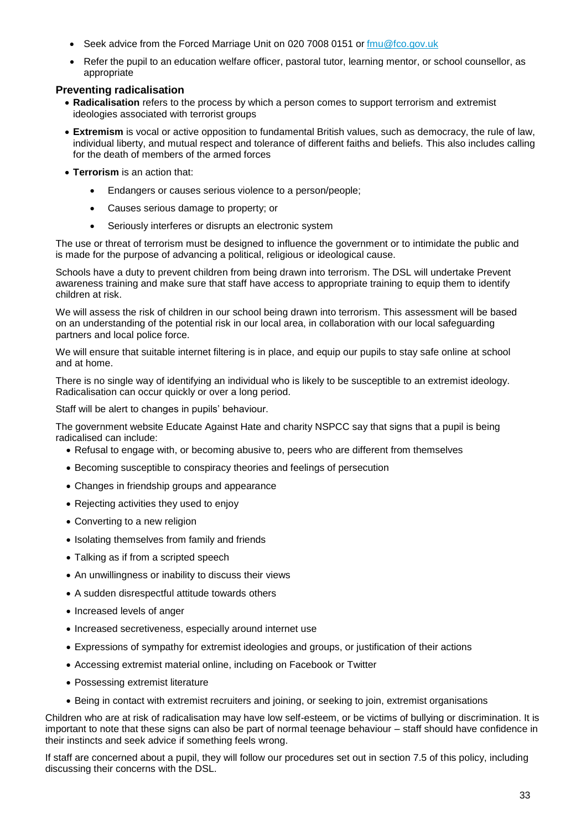- Seek advice from the Forced Marriage Unit on 020 7008 0151 or [fmu@fco.gov.uk](http://www.legislation.gov.uk/ukpga/2006/21/contents)
- Refer the pupil to an education welfare officer, pastoral tutor, learning mentor, or school counsellor, as appropriate

### **Preventing radicalisation**

- **Radicalisation** refers to the process by which a person comes to support terrorism and extremist ideologies associated with terrorist groups
- **Extremism** is vocal or active opposition to fundamental British values, such as democracy, the rule of law, individual liberty, and mutual respect and tolerance of different faiths and beliefs. This also includes calling for the death of members of the armed forces
- **Terrorism** is an action that:
	- Endangers or causes serious violence to a person/people;
	- Causes serious damage to property; or
	- Seriously interferes or disrupts an electronic system

The use or threat of terrorism must be designed to influence the government or to intimidate the public and is made for the purpose of advancing a political, religious or ideological cause.

Schools have a duty to prevent children from being drawn into terrorism. The DSL will undertake Prevent awareness training and make sure that staff have access to appropriate training to equip them to identify children at risk.

We will assess the risk of children in our school being drawn into terrorism. This assessment will be based on an understanding of the potential risk in our local area, in collaboration with our local safeguarding partners and local police force.

We will ensure that suitable internet filtering is in place, and equip our pupils to stay safe online at school and at home.

There is no single way of identifying an individual who is likely to be susceptible to an extremist ideology. Radicalisation can occur quickly or over a long period.

Staff will be alert to changes in pupils' behaviour.

The government website [Educate Against Hate](http://educateagainsthate.com/parents/what-are-the-warning-signs/) and charity [NSPCC](https://www.gov.uk/government/publications/early-years-foundation-stage-framework--2) say that signs that a pupil is being radicalised can include:

- Refusal to engage with, or becoming abusive to, peers who are different from themselves
- Becoming susceptible to conspiracy theories and feelings of persecution
- Changes in friendship groups and appearance
- Rejecting activities they used to enjoy
- Converting to a new religion
- Isolating themselves from family and friends
- Talking as if from a scripted speech
- An unwillingness or inability to discuss their views
- A sudden disrespectful attitude towards others
- Increased levels of anger
- Increased secretiveness, especially around internet use
- Expressions of sympathy for extremist ideologies and groups, or justification of their actions
- Accessing extremist material online, including on Facebook or Twitter
- Possessing extremist literature
- Being in contact with extremist recruiters and joining, or seeking to join, extremist organisations

Children who are at risk of radicalisation may have low self-esteem, or be victims of bullying or discrimination. It is important to note that these signs can also be part of normal teenage behaviour – staff should have confidence in their instincts and seek advice if something feels wrong.

If staff are concerned about a pupil, they will follow our procedures set out in section 7.5 of this policy, including discussing their concerns with the DSL.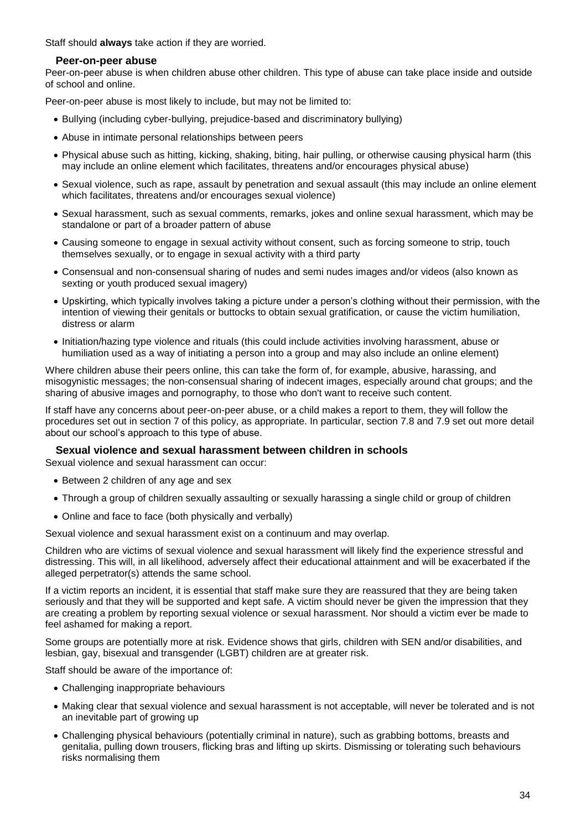Staff should **always** take action if they are worried.

### **Peer-on-peer abuse**

Peer-on-peer abuse is when children abuse other children. This type of abuse can take place inside and outside of school and online.

Peer-on-peer abuse is most likely to include, but may not be limited to:

- Bullying (including cyber-bullying, prejudice-based and discriminatory bullying)
- Abuse in intimate personal relationships between peers
- Physical abuse such as hitting, kicking, shaking, biting, hair pulling, or otherwise causing physical harm (this may include an online element which facilitates, threatens and/or encourages physical abuse)
- Sexual violence, such as rape, assault by penetration and sexual assault (this may include an online element which facilitates, threatens and/or encourages sexual violence)
- Sexual harassment, such as sexual comments, remarks, jokes and online sexual harassment, which may be standalone or part of a broader pattern of abuse
- Causing someone to engage in sexual activity without consent, such as forcing someone to strip, touch themselves sexually, or to engage in sexual activity with a third party
- Consensual and non-consensual sharing of nudes and semi nudes images and/or videos (also known as sexting or youth produced sexual imagery)
- Upskirting, which typically involves taking a picture under a person's clothing without their permission, with the intention of viewing their genitals or buttocks to obtain sexual gratification, or cause the victim humiliation, distress or alarm
- Initiation/hazing type violence and rituals (this could include activities involving harassment, abuse or humiliation used as a way of initiating a person into a group and may also include an online element)

Where children abuse their peers online, this can take the form of, for example, abusive, harassing, and misogynistic messages; the non-consensual sharing of indecent images, especially around chat groups; and the sharing of abusive images and pornography, to those who don't want to receive such content.

If staff have any concerns about peer-on-peer abuse, or a child makes a report to them, they will follow the procedures set out in section 7 of this policy, as appropriate. In particular, section 7.8 and 7.9 set out more detail about our school's approach to this type of abuse.

### **Sexual violence and sexual harassment between children in schools**

Sexual violence and sexual harassment can occur:

- Between 2 children of any age and sex
- Through a group of children sexually assaulting or sexually harassing a single child or group of children
- Online and face to face (both physically and verbally)

Sexual violence and sexual harassment exist on a continuum and may overlap.

Children who are victims of sexual violence and sexual harassment will likely find the experience stressful and distressing. This will, in all likelihood, adversely affect their educational attainment and will be exacerbated if the alleged perpetrator(s) attends the same school.

If a victim reports an incident, it is essential that staff make sure they are reassured that they are being taken seriously and that they will be supported and kept safe. A victim should never be given the impression that they are creating a problem by reporting sexual violence or sexual harassment. Nor should a victim ever be made to feel ashamed for making a report.

Some groups are potentially more at risk. Evidence shows that girls, children with SEN and/or disabilities, and lesbian, gay, bisexual and transgender (LGBT) children are at greater risk.

Staff should be aware of the importance of:

- Challenging inappropriate behaviours
- Making clear that sexual violence and sexual harassment is not acceptable, will never be tolerated and is not an inevitable part of growing up
- Challenging physical behaviours (potentially criminal in nature), such as grabbing bottoms, breasts and genitalia, pulling down trousers, flicking bras and lifting up skirts. Dismissing or tolerating such behaviours risks normalising them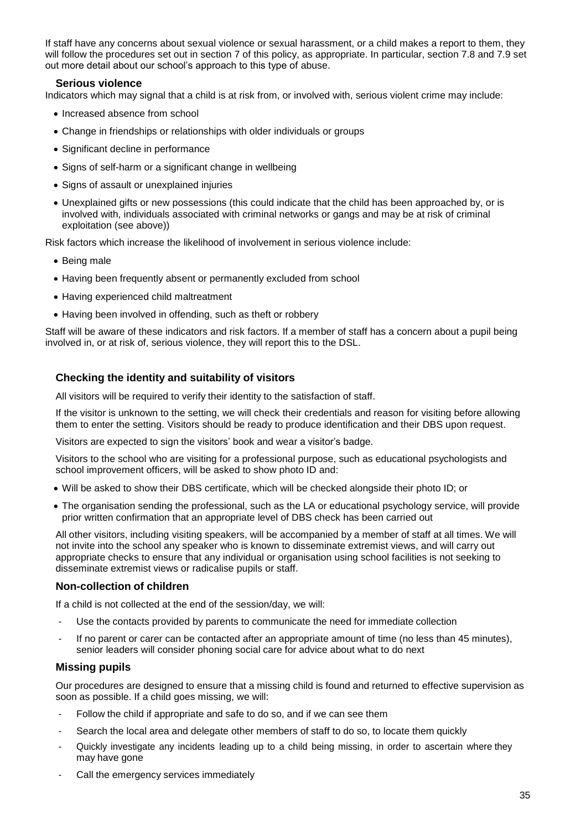If staff have any concerns about sexual violence or sexual harassment, or a child makes a report to them, they will follow the procedures set out in section 7 of this policy, as appropriate. In particular, section 7.8 and 7.9 set out more detail about our school's approach to this type of abuse.

### **Serious violence**

Indicators which may signal that a child is at risk from, or involved with, serious violent crime may include:

- Increased absence from school
- Change in friendships or relationships with older individuals or groups
- Significant decline in performance
- Signs of self-harm or a significant change in wellbeing
- Signs of assault or unexplained injuries
- Unexplained gifts or new possessions (this could indicate that the child has been approached by, or is involved with, individuals associated with criminal networks or gangs and may be at risk of criminal exploitation (see above))

Risk factors which increase the likelihood of involvement in serious violence include:

- Being male
- Having been frequently absent or permanently excluded from school
- Having experienced child maltreatment
- Having been involved in offending, such as theft or robbery

Staff will be aware of these indicators and risk factors. If a member of staff has a concern about a pupil being involved in, or at risk of, serious violence, they will report this to the DSL.

### **Checking the identity and suitability of visitors**

All visitors will be required to verify their identity to the satisfaction of staff.

If the visitor is unknown to the setting, we will check their credentials and reason for visiting before allowing them to enter the setting. Visitors should be ready to produce identification and their DBS upon request.

Visitors are expected to sign the visitors' book and wear a visitor's badge.

Visitors to the school who are visiting for a professional purpose, such as educational psychologists and school improvement officers, will be asked to show photo ID and:

- Will be asked to show their DBS certificate, which will be checked alongside their photo ID; or
- The organisation sending the professional, such as the LA or educational psychology service, will provide prior written confirmation that an appropriate level of DBS check has been carried out

All other visitors, including visiting speakers, will be accompanied by a member of staff at all times. We will not invite into the school any speaker who is known to disseminate extremist views, and will carry out appropriate checks to ensure that any individual or organisation using school facilities is not seeking to disseminate extremist views or radicalise pupils or staff.

### **Non-collection of children**

If a child is not collected at the end of the session/day, we will:

- Use the contacts provided by parents to communicate the need for immediate collection
- If no parent or carer can be contacted after an appropriate amount of time (no less than 45 minutes), senior leaders will consider phoning social care for advice about what to do next

### **Missing pupils**

Our procedures are designed to ensure that a missing child is found and returned to effective supervision as soon as possible. If a child goes missing, we will:

- Follow the child if appropriate and safe to do so, and if we can see them
- Search the local area and delegate other members of staff to do so, to locate them quickly
- Quickly investigate any incidents leading up to a child being missing, in order to ascertain where they may have gone
- Call the emergency services immediately